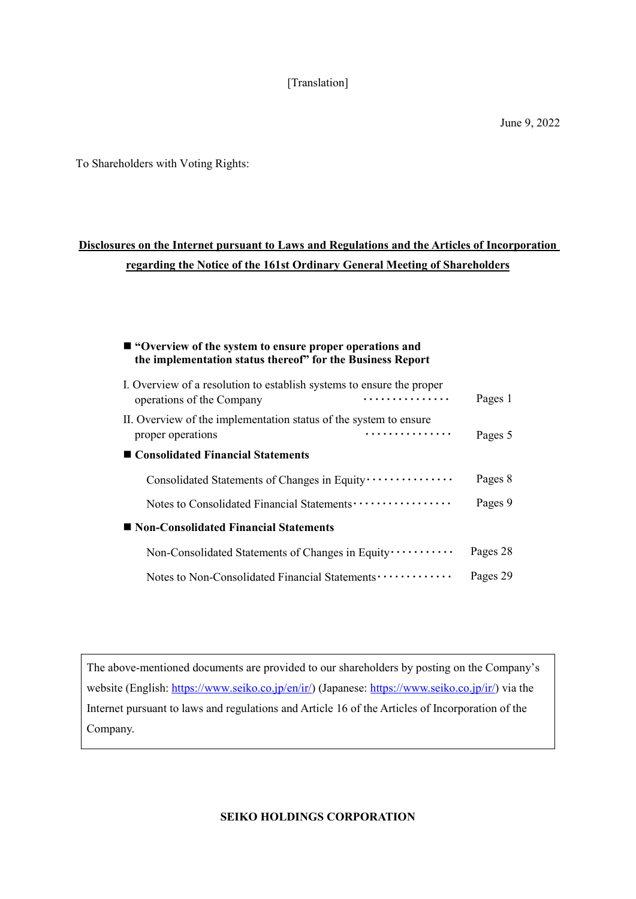# [Translation]

To Shareholders with Voting Rights:

# **Disclosures on the Internet pursuant to Laws and Regulations and the Articles of Incorporation regarding the Notice of the 161st Ordinary General Meeting of Shareholders**

# **"Overview of the system to ensure proper operations and the implementation status thereof" for the Business Report**

| I. Overview of a resolution to establish systems to ensure the proper<br>.<br>operations of the Company | Pages 1  |
|---------------------------------------------------------------------------------------------------------|----------|
| II. Overview of the implementation status of the system to ensure<br>.<br>proper operations             | Pages 5  |
| ■ Consolidated Financial Statements                                                                     |          |
| Consolidated Statements of Changes in Equity ···············                                            | Pages 8  |
|                                                                                                         | Pages 9  |
| ■ Non-Consolidated Financial Statements                                                                 |          |
| Non-Consolidated Statements of Changes in Equity                                                        | Pages 28 |
| Notes to Non-Consolidated Financial Statements                                                          | Pages 29 |

The above-mentioned documents are provided to our shareholders by posting on the Company's website (English: https://www.seiko.co.jp/en/ir/) (Japanese: https://www.seiko.co.jp/ir/) via the Internet pursuant to laws and regulations and Article 16 of the Articles of Incorporation of the Company.

**SEIKO HOLDINGS CORPORATION**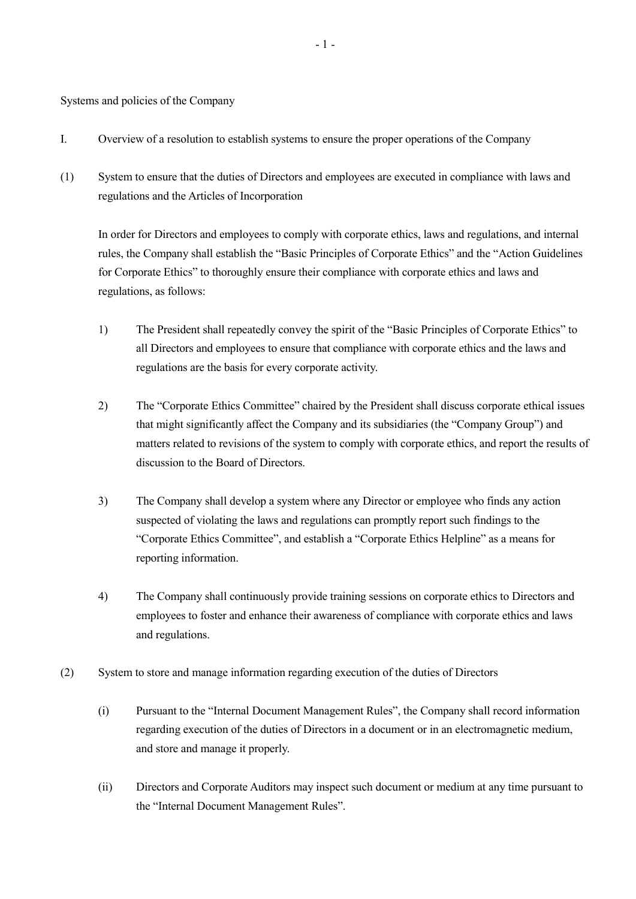Systems and policies of the Company

- I. Overview of a resolution to establish systems to ensure the proper operations of the Company
- (1) System to ensure that the duties of Directors and employees are executed in compliance with laws and regulations and the Articles of Incorporation

In order for Directors and employees to comply with corporate ethics, laws and regulations, and internal rules, the Company shall establish the "Basic Principles of Corporate Ethics" and the "Action Guidelines for Corporate Ethics" to thoroughly ensure their compliance with corporate ethics and laws and regulations, as follows:

- 1) The President shall repeatedly convey the spirit of the "Basic Principles of Corporate Ethics" to all Directors and employees to ensure that compliance with corporate ethics and the laws and regulations are the basis for every corporate activity.
- 2) The "Corporate Ethics Committee" chaired by the President shall discuss corporate ethical issues that might significantly affect the Company and its subsidiaries (the "Company Group") and matters related to revisions of the system to comply with corporate ethics, and report the results of discussion to the Board of Directors.
- 3) The Company shall develop a system where any Director or employee who finds any action suspected of violating the laws and regulations can promptly report such findings to the "Corporate Ethics Committee", and establish a "Corporate Ethics Helpline" as a means for reporting information.
- 4) The Company shall continuously provide training sessions on corporate ethics to Directors and employees to foster and enhance their awareness of compliance with corporate ethics and laws and regulations.
- (2) System to store and manage information regarding execution of the duties of Directors
	- (i) Pursuant to the "Internal Document Management Rules", the Company shall record information regarding execution of the duties of Directors in a document or in an electromagnetic medium, and store and manage it properly.
	- (ii) Directors and Corporate Auditors may inspect such document or medium at any time pursuant to the "Internal Document Management Rules".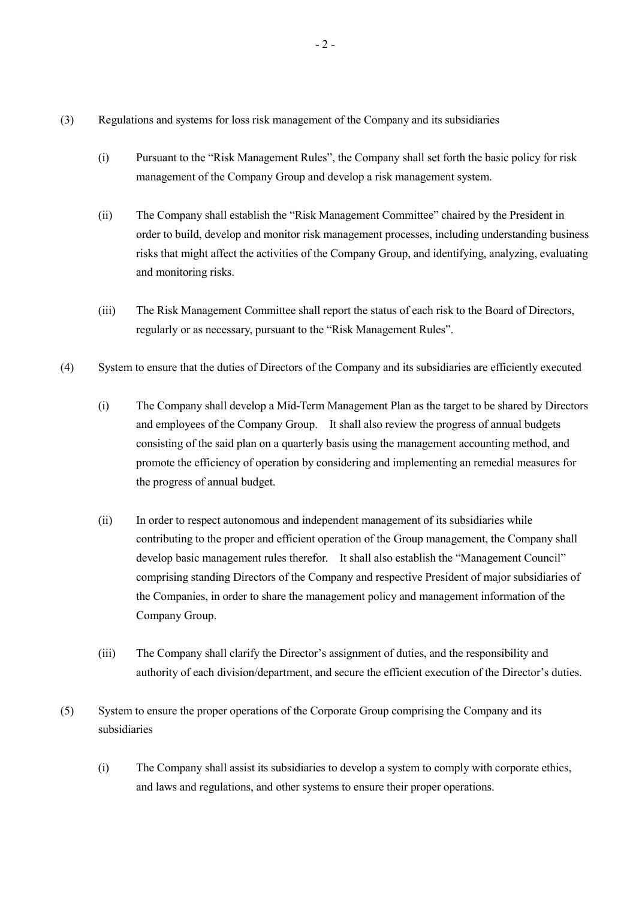- (3) Regulations and systems for loss risk management of the Company and its subsidiaries
	- (i) Pursuant to the "Risk Management Rules", the Company shall set forth the basic policy for risk management of the Company Group and develop a risk management system.
	- (ii) The Company shall establish the "Risk Management Committee" chaired by the President in order to build, develop and monitor risk management processes, including understanding business risks that might affect the activities of the Company Group, and identifying, analyzing, evaluating and monitoring risks.
	- (iii) The Risk Management Committee shall report the status of each risk to the Board of Directors, regularly or as necessary, pursuant to the "Risk Management Rules".
- (4) System to ensure that the duties of Directors of the Company and its subsidiaries are efficiently executed
	- (i) The Company shall develop a Mid-Term Management Plan as the target to be shared by Directors and employees of the Company Group. It shall also review the progress of annual budgets consisting of the said plan on a quarterly basis using the management accounting method, and promote the efficiency of operation by considering and implementing an remedial measures for the progress of annual budget.
	- (ii) In order to respect autonomous and independent management of its subsidiaries while contributing to the proper and efficient operation of the Group management, the Company shall develop basic management rules therefor. It shall also establish the "Management Council" comprising standing Directors of the Company and respective President of major subsidiaries of the Companies, in order to share the management policy and management information of the Company Group.
	- (iii) The Company shall clarify the Director's assignment of duties, and the responsibility and authority of each division/department, and secure the efficient execution of the Director's duties.
- (5) System to ensure the proper operations of the Corporate Group comprising the Company and its subsidiaries
	- (i) The Company shall assist its subsidiaries to develop a system to comply with corporate ethics, and laws and regulations, and other systems to ensure their proper operations.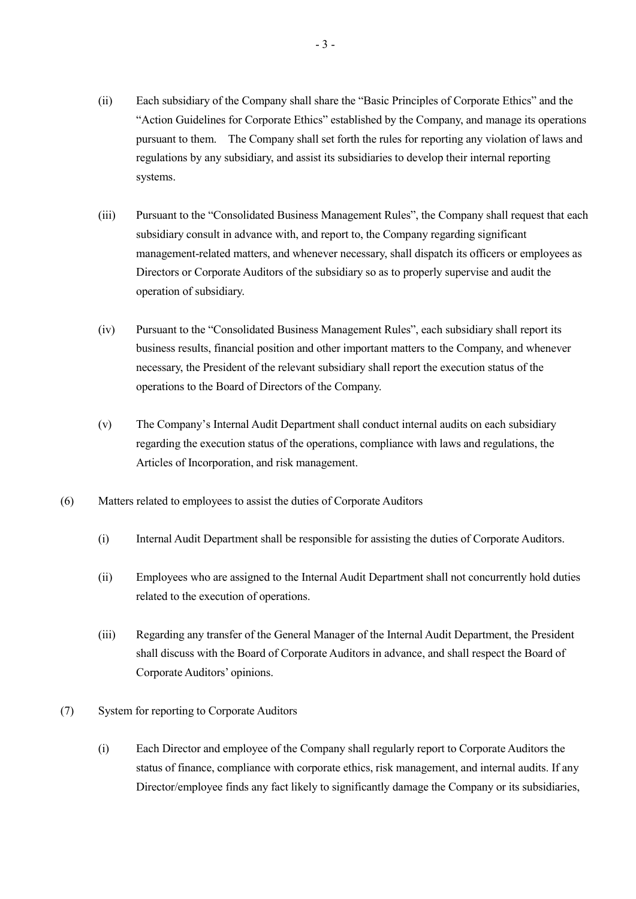- (ii) Each subsidiary of the Company shall share the "Basic Principles of Corporate Ethics" and the "Action Guidelines for Corporate Ethics" established by the Company, and manage its operations pursuant to them. The Company shall set forth the rules for reporting any violation of laws and regulations by any subsidiary, and assist its subsidiaries to develop their internal reporting systems.
- (iii) Pursuant to the "Consolidated Business Management Rules", the Company shall request that each subsidiary consult in advance with, and report to, the Company regarding significant management-related matters, and whenever necessary, shall dispatch its officers or employees as Directors or Corporate Auditors of the subsidiary so as to properly supervise and audit the operation of subsidiary.
- (iv) Pursuant to the "Consolidated Business Management Rules", each subsidiary shall report its business results, financial position and other important matters to the Company, and whenever necessary, the President of the relevant subsidiary shall report the execution status of the operations to the Board of Directors of the Company.
- (v) The Company's Internal Audit Department shall conduct internal audits on each subsidiary regarding the execution status of the operations, compliance with laws and regulations, the Articles of Incorporation, and risk management.
- (6) Matters related to employees to assist the duties of Corporate Auditors
	- (i) Internal Audit Department shall be responsible for assisting the duties of Corporate Auditors.
	- (ii) Employees who are assigned to the Internal Audit Department shall not concurrently hold duties related to the execution of operations.
	- (iii) Regarding any transfer of the General Manager of the Internal Audit Department, the President shall discuss with the Board of Corporate Auditors in advance, and shall respect the Board of Corporate Auditors' opinions.
- (7) System for reporting to Corporate Auditors
	- (i) Each Director and employee of the Company shall regularly report to Corporate Auditors the status of finance, compliance with corporate ethics, risk management, and internal audits. If any Director/employee finds any fact likely to significantly damage the Company or its subsidiaries,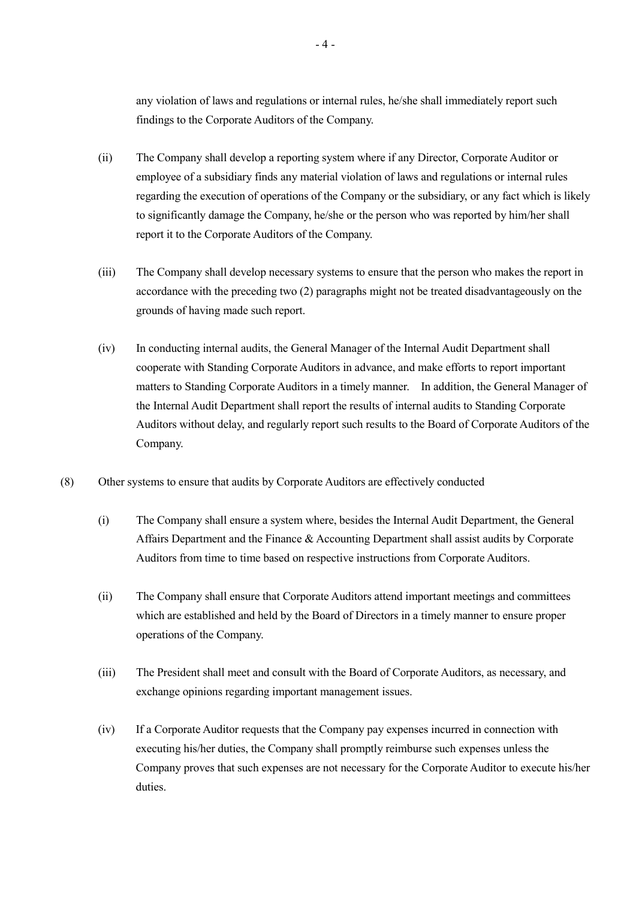any violation of laws and regulations or internal rules, he/she shall immediately report such findings to the Corporate Auditors of the Company.

- (ii) The Company shall develop a reporting system where if any Director, Corporate Auditor or employee of a subsidiary finds any material violation of laws and regulations or internal rules regarding the execution of operations of the Company or the subsidiary, or any fact which is likely to significantly damage the Company, he/she or the person who was reported by him/her shall report it to the Corporate Auditors of the Company.
- (iii) The Company shall develop necessary systems to ensure that the person who makes the report in accordance with the preceding two (2) paragraphs might not be treated disadvantageously on the grounds of having made such report.
- (iv) In conducting internal audits, the General Manager of the Internal Audit Department shall cooperate with Standing Corporate Auditors in advance, and make efforts to report important matters to Standing Corporate Auditors in a timely manner. In addition, the General Manager of the Internal Audit Department shall report the results of internal audits to Standing Corporate Auditors without delay, and regularly report such results to the Board of Corporate Auditors of the Company.
- (8) Other systems to ensure that audits by Corporate Auditors are effectively conducted
	- (i) The Company shall ensure a system where, besides the Internal Audit Department, the General Affairs Department and the Finance & Accounting Department shall assist audits by Corporate Auditors from time to time based on respective instructions from Corporate Auditors.
	- (ii) The Company shall ensure that Corporate Auditors attend important meetings and committees which are established and held by the Board of Directors in a timely manner to ensure proper operations of the Company.
	- (iii) The President shall meet and consult with the Board of Corporate Auditors, as necessary, and exchange opinions regarding important management issues.
	- (iv) If a Corporate Auditor requests that the Company pay expenses incurred in connection with executing his/her duties, the Company shall promptly reimburse such expenses unless the Company proves that such expenses are not necessary for the Corporate Auditor to execute his/her duties.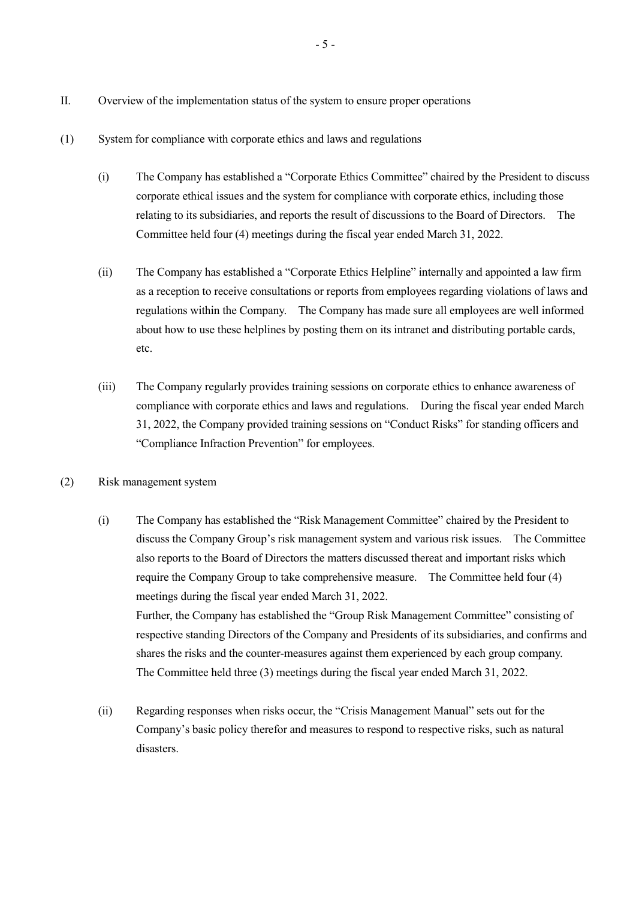- II. Overview of the implementation status of the system to ensure proper operations
- (1) System for compliance with corporate ethics and laws and regulations
	- (i) The Company has established a "Corporate Ethics Committee" chaired by the President to discuss corporate ethical issues and the system for compliance with corporate ethics, including those relating to its subsidiaries, and reports the result of discussions to the Board of Directors. The Committee held four (4) meetings during the fiscal year ended March 31, 2022.
	- (ii) The Company has established a "Corporate Ethics Helpline" internally and appointed a law firm as a reception to receive consultations or reports from employees regarding violations of laws and regulations within the Company. The Company has made sure all employees are well informed about how to use these helplines by posting them on its intranet and distributing portable cards, etc.
	- (iii) The Company regularly provides training sessions on corporate ethics to enhance awareness of compliance with corporate ethics and laws and regulations. During the fiscal year ended March 31, 2022, the Company provided training sessions on "Conduct Risks" for standing officers and "Compliance Infraction Prevention" for employees.
- (2) Risk management system
	- (i) The Company has established the "Risk Management Committee" chaired by the President to discuss the Company Group's risk management system and various risk issues. The Committee also reports to the Board of Directors the matters discussed thereat and important risks which require the Company Group to take comprehensive measure. The Committee held four (4) meetings during the fiscal year ended March 31, 2022. Further, the Company has established the "Group Risk Management Committee" consisting of respective standing Directors of the Company and Presidents of its subsidiaries, and confirms and shares the risks and the counter-measures against them experienced by each group company. The Committee held three (3) meetings during the fiscal year ended March 31, 2022.
	- (ii) Regarding responses when risks occur, the "Crisis Management Manual" sets out for the Company's basic policy therefor and measures to respond to respective risks, such as natural disasters.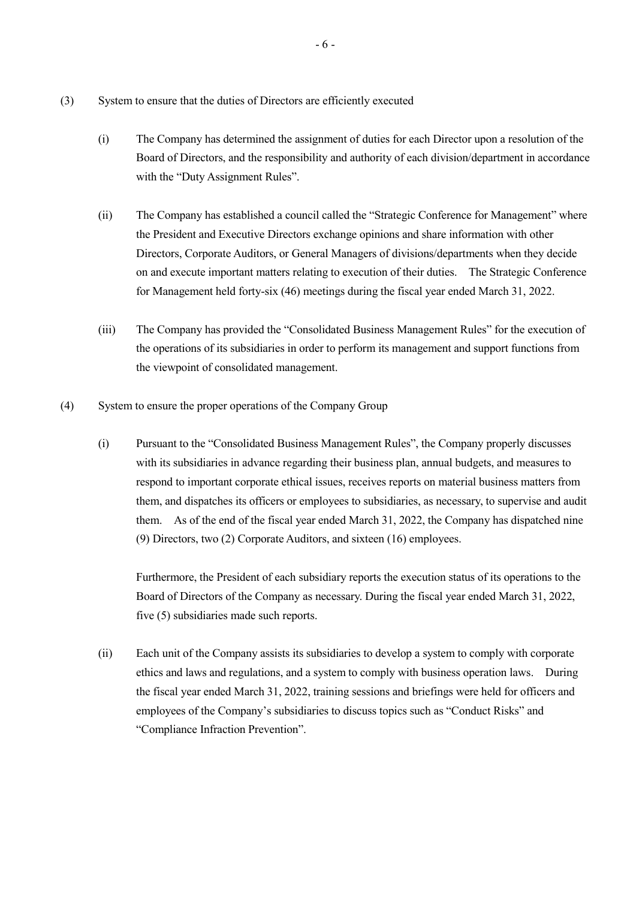- (3) System to ensure that the duties of Directors are efficiently executed
	- (i) The Company has determined the assignment of duties for each Director upon a resolution of the Board of Directors, and the responsibility and authority of each division/department in accordance with the "Duty Assignment Rules".
	- (ii) The Company has established a council called the "Strategic Conference for Management" where the President and Executive Directors exchange opinions and share information with other Directors, Corporate Auditors, or General Managers of divisions/departments when they decide on and execute important matters relating to execution of their duties. The Strategic Conference for Management held forty-six (46) meetings during the fiscal year ended March 31, 2022.
	- (iii) The Company has provided the "Consolidated Business Management Rules" for the execution of the operations of its subsidiaries in order to perform its management and support functions from the viewpoint of consolidated management.
- (4) System to ensure the proper operations of the Company Group
	- (i) Pursuant to the "Consolidated Business Management Rules", the Company properly discusses with its subsidiaries in advance regarding their business plan, annual budgets, and measures to respond to important corporate ethical issues, receives reports on material business matters from them, and dispatches its officers or employees to subsidiaries, as necessary, to supervise and audit them. As of the end of the fiscal year ended March 31, 2022, the Company has dispatched nine (9) Directors, two (2) Corporate Auditors, and sixteen (16) employees.

Furthermore, the President of each subsidiary reports the execution status of its operations to the Board of Directors of the Company as necessary. During the fiscal year ended March 31, 2022, five (5) subsidiaries made such reports.

(ii) Each unit of the Company assists its subsidiaries to develop a system to comply with corporate ethics and laws and regulations, and a system to comply with business operation laws. During the fiscal year ended March 31, 2022, training sessions and briefings were held for officers and employees of the Company's subsidiaries to discuss topics such as "Conduct Risks" and "Compliance Infraction Prevention".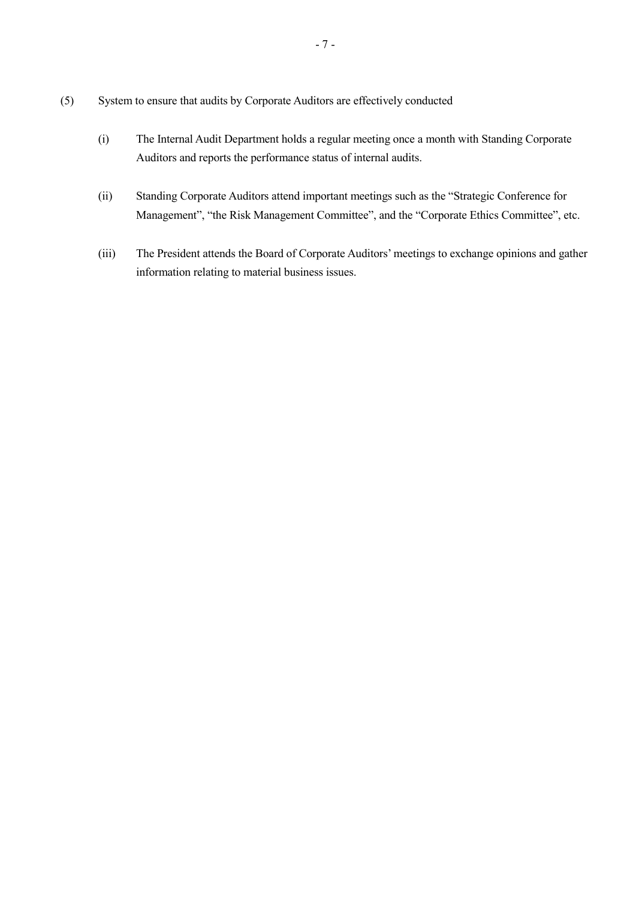- (5) System to ensure that audits by Corporate Auditors are effectively conducted
	- (i) The Internal Audit Department holds a regular meeting once a month with Standing Corporate Auditors and reports the performance status of internal audits.
	- (ii) Standing Corporate Auditors attend important meetings such as the "Strategic Conference for Management", "the Risk Management Committee", and the "Corporate Ethics Committee", etc.
	- (iii) The President attends the Board of Corporate Auditors' meetings to exchange opinions and gather information relating to material business issues.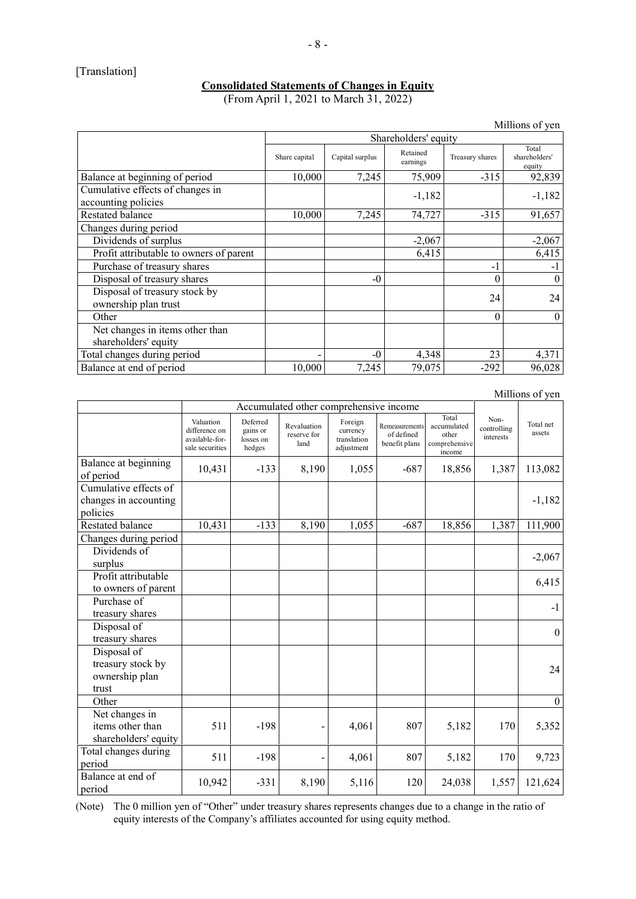# [Translation]

#### **Consolidated Statements of Changes in Equity**

(From April 1, 2021 to March 31, 2022)

|                                                         |                      |                 |                      |                 | Millions of yen                  |
|---------------------------------------------------------|----------------------|-----------------|----------------------|-----------------|----------------------------------|
|                                                         | Shareholders' equity |                 |                      |                 |                                  |
|                                                         | Share capital        | Capital surplus | Retained<br>earnings | Treasury shares | Total<br>shareholders'<br>equity |
| Balance at beginning of period                          | 10,000               | 7,245           | 75,909               | $-315$          | 92,839                           |
| Cumulative effects of changes in<br>accounting policies |                      |                 | $-1,182$             |                 | $-1,182$                         |
| Restated balance                                        | 10,000               | 7,245           | 74,727               | $-315$          | 91,657                           |
| Changes during period                                   |                      |                 |                      |                 |                                  |
| Dividends of surplus                                    |                      |                 | $-2,067$             |                 | $-2,067$                         |
| Profit attributable to owners of parent                 |                      |                 | 6,415                |                 | 6,415                            |
| Purchase of treasury shares                             |                      |                 |                      | $-1$            | -1                               |
| Disposal of treasury shares                             |                      | $-0$            |                      | 0               | $\theta$                         |
| Disposal of treasury stock by<br>ownership plan trust   |                      |                 |                      | 24              | 24                               |
| Other                                                   |                      |                 |                      | $\theta$        | $\theta$                         |
| Net changes in items other than<br>shareholders' equity |                      |                 |                      |                 |                                  |
| Total changes during period                             |                      | $-0$            | 4,348                | 23              | 4,371                            |
| Balance at end of period                                | 10,000               | 7,245           | 79,075               | $-292$          | 96,028                           |

Millions of yen

|                                                             | Accumulated other comprehensive income                          |                                             |                                    |                                                  |                                               |                                                          |                                  |                     |
|-------------------------------------------------------------|-----------------------------------------------------------------|---------------------------------------------|------------------------------------|--------------------------------------------------|-----------------------------------------------|----------------------------------------------------------|----------------------------------|---------------------|
|                                                             | Valuation<br>difference on<br>available-for-<br>sale securities | Deferred<br>gains or<br>losses on<br>hedges | Revaluation<br>reserve for<br>land | Foreign<br>currency<br>translation<br>adjustment | Remeasurements<br>of defined<br>benefit plans | Total<br>accumulated<br>other<br>comprehensive<br>income | Non-<br>controlling<br>interests | Total net<br>assets |
| Balance at beginning<br>of period                           | 10,431                                                          | $-133$                                      | 8,190                              | 1,055                                            | $-687$                                        | 18,856                                                   | 1,387                            | 113,082             |
| Cumulative effects of                                       |                                                                 |                                             |                                    |                                                  |                                               |                                                          |                                  |                     |
| changes in accounting<br>policies                           |                                                                 |                                             |                                    |                                                  |                                               |                                                          |                                  | $-1,182$            |
| Restated balance                                            | 10,431                                                          | $-133$                                      | 8,190                              | 1,055                                            | $-687$                                        | 18,856                                                   | 1,387                            | 111,900             |
| Changes during period                                       |                                                                 |                                             |                                    |                                                  |                                               |                                                          |                                  |                     |
| Dividends of<br>surplus                                     |                                                                 |                                             |                                    |                                                  |                                               |                                                          |                                  | $-2,067$            |
| Profit attributable<br>to owners of parent                  |                                                                 |                                             |                                    |                                                  |                                               |                                                          |                                  | 6,415               |
| Purchase of<br>treasury shares                              |                                                                 |                                             |                                    |                                                  |                                               |                                                          |                                  | $-1$                |
| Disposal of<br>treasury shares                              |                                                                 |                                             |                                    |                                                  |                                               |                                                          |                                  | $\boldsymbol{0}$    |
| Disposal of<br>treasury stock by<br>ownership plan<br>trust |                                                                 |                                             |                                    |                                                  |                                               |                                                          |                                  | 24                  |
| Other                                                       |                                                                 |                                             |                                    |                                                  |                                               |                                                          |                                  | $\theta$            |
| Net changes in<br>items other than<br>shareholders' equity  | 511                                                             | $-198$                                      |                                    | 4,061                                            | 807                                           | 5,182                                                    | 170                              | 5,352               |
| Total changes during<br>period                              | 511                                                             | $-198$                                      |                                    | 4,061                                            | 807                                           | 5,182                                                    | 170                              | 9,723               |
| Balance at end of<br>period                                 | 10,942                                                          | $-331$                                      | 8,190                              | 5,116                                            | 120                                           | 24,038                                                   | 1,557                            | 121,624             |

(Note) The 0 million yen of "Other" under treasury shares represents changes due to a change in the ratio of equity interests of the Company's affiliates accounted for using equity method.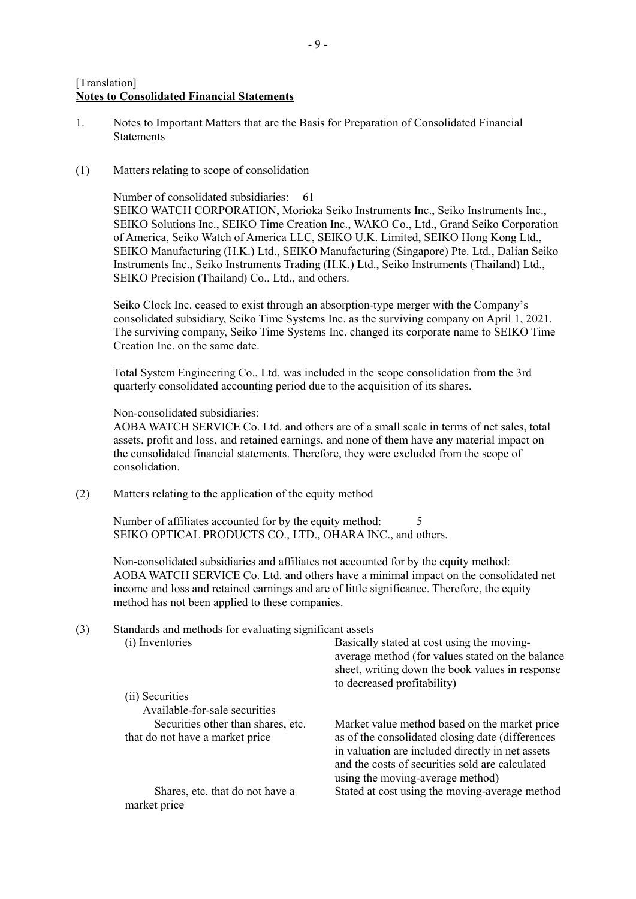# [Translation] **Notes to Consolidated Financial Statements**

- 1. Notes to Important Matters that are the Basis for Preparation of Consolidated Financial **Statements**
- (1) Matters relating to scope of consolidation

Number of consolidated subsidiaries: 61 SEIKO WATCH CORPORATION, Morioka Seiko Instruments Inc., Seiko Instruments Inc., SEIKO Solutions Inc., SEIKO Time Creation Inc., WAKO Co., Ltd., Grand Seiko Corporation of America, Seiko Watch of America LLC, SEIKO U.K. Limited, SEIKO Hong Kong Ltd., SEIKO Manufacturing (H.K.) Ltd., SEIKO Manufacturing (Singapore) Pte. Ltd., Dalian Seiko Instruments Inc., Seiko Instruments Trading (H.K.) Ltd., Seiko Instruments (Thailand) Ltd., SEIKO Precision (Thailand) Co., Ltd., and others.

Seiko Clock Inc. ceased to exist through an absorption-type merger with the Company's consolidated subsidiary, Seiko Time Systems Inc. as the surviving company on April 1, 2021. The surviving company, Seiko Time Systems Inc. changed its corporate name to SEIKO Time Creation Inc. on the same date.

Total System Engineering Co., Ltd. was included in the scope consolidation from the 3rd quarterly consolidated accounting period due to the acquisition of its shares.

Non-consolidated subsidiaries:

AOBA WATCH SERVICE Co. Ltd. and others are of a small scale in terms of net sales, total assets, profit and loss, and retained earnings, and none of them have any material impact on the consolidated financial statements. Therefore, they were excluded from the scope of consolidation.

(2) Matters relating to the application of the equity method

Number of affiliates accounted for by the equity method: SEIKO OPTICAL PRODUCTS CO., LTD., OHARA INC., and others.

Non-consolidated subsidiaries and affiliates not accounted for by the equity method: AOBA WATCH SERVICE Co. Ltd. and others have a minimal impact on the consolidated net income and loss and retained earnings and are of little significance. Therefore, the equity method has not been applied to these companies.

(3) Standards and methods for evaluating significant assets (i) Inventories Basically stated at cost using the moving-

|                                                                       | average method (for values stated on the balance<br>sheet, writing down the book values in response<br>to decreased profitability) |
|-----------------------------------------------------------------------|------------------------------------------------------------------------------------------------------------------------------------|
| (ii) Securities                                                       |                                                                                                                                    |
| Available-for-sale securities                                         |                                                                                                                                    |
| Securities other than shares, etc.<br>that do not have a market price | Market value method based on the market price<br>as of the consolidated closing date (differences                                  |
|                                                                       | in valuation are included directly in net assets                                                                                   |
|                                                                       | and the costs of securities sold are calculated<br>using the moving-average method)                                                |
| Shares, etc. that do not have a<br>market price                       | Stated at cost using the moving-average method                                                                                     |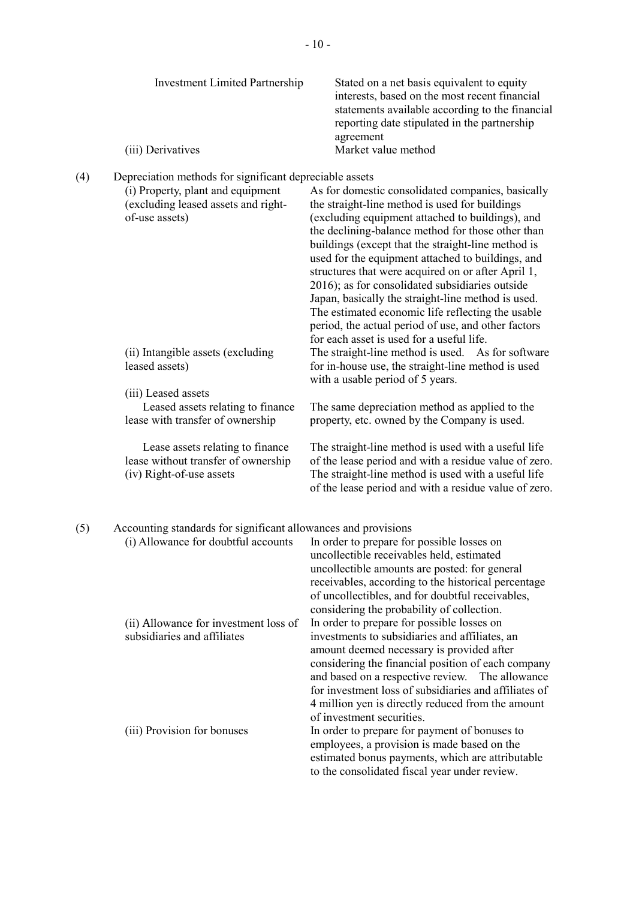|     | <b>Investment Limited Partnership</b><br>(iii) Derivatives                                                                                            | Stated on a net basis equivalent to equity<br>interests, based on the most recent financial<br>statements available according to the financial<br>reporting date stipulated in the partnership<br>agreement<br>Market value method                                                                                                                                                                                                                                                                                                                                                                 |
|-----|-------------------------------------------------------------------------------------------------------------------------------------------------------|----------------------------------------------------------------------------------------------------------------------------------------------------------------------------------------------------------------------------------------------------------------------------------------------------------------------------------------------------------------------------------------------------------------------------------------------------------------------------------------------------------------------------------------------------------------------------------------------------|
| (4) | Depreciation methods for significant depreciable assets<br>(i) Property, plant and equipment<br>(excluding leased assets and right-<br>of-use assets) | As for domestic consolidated companies, basically<br>the straight-line method is used for buildings<br>(excluding equipment attached to buildings), and<br>the declining-balance method for those other than<br>buildings (except that the straight-line method is<br>used for the equipment attached to buildings, and<br>structures that were acquired on or after April 1,<br>2016); as for consolidated subsidiaries outside<br>Japan, basically the straight-line method is used.<br>The estimated economic life reflecting the usable<br>period, the actual period of use, and other factors |
|     | (ii) Intangible assets (excluding<br>leased assets)                                                                                                   | for each asset is used for a useful life.<br>The straight-line method is used. As for software<br>for in-house use, the straight-line method is used<br>with a usable period of 5 years.                                                                                                                                                                                                                                                                                                                                                                                                           |
|     | (iii) Leased assets<br>Leased assets relating to finance<br>lease with transfer of ownership                                                          | The same depreciation method as applied to the<br>property, etc. owned by the Company is used.                                                                                                                                                                                                                                                                                                                                                                                                                                                                                                     |
|     | Lease assets relating to finance<br>lease without transfer of ownership<br>(iv) Right-of-use assets                                                   | The straight-line method is used with a useful life<br>of the lease period and with a residue value of zero.<br>The straight-line method is used with a useful life<br>of the lease period and with a residue value of zero.                                                                                                                                                                                                                                                                                                                                                                       |
| (5) | Accounting standards for significant allowances and provisions                                                                                        | (i) Allowance for doubtful accounts In order to prepare for possible losses on<br>uncollectible receivables held, estimated<br>uncollectible amounts are posted: for general<br>receivables, according to the historical percentage<br>of uncollectibles, and for doubtful receivables,                                                                                                                                                                                                                                                                                                            |
|     | (ii) Allowance for investment loss of<br>subsidiaries and affiliates                                                                                  | considering the probability of collection.<br>In order to prepare for possible losses on<br>investments to subsidiaries and affiliates, an<br>amount deemed necessary is provided after<br>considering the financial position of each company<br>and based on a respective review. The allowance<br>for investment loss of subsidiaries and affiliates of<br>4 million yen is directly reduced from the amount                                                                                                                                                                                     |
|     | (iii) Provision for bonuses                                                                                                                           | of investment securities.<br>In order to prepare for payment of bonuses to<br>employees, a provision is made based on the<br>estimated bonus payments, which are attributable<br>to the consolidated fiscal year under review.                                                                                                                                                                                                                                                                                                                                                                     |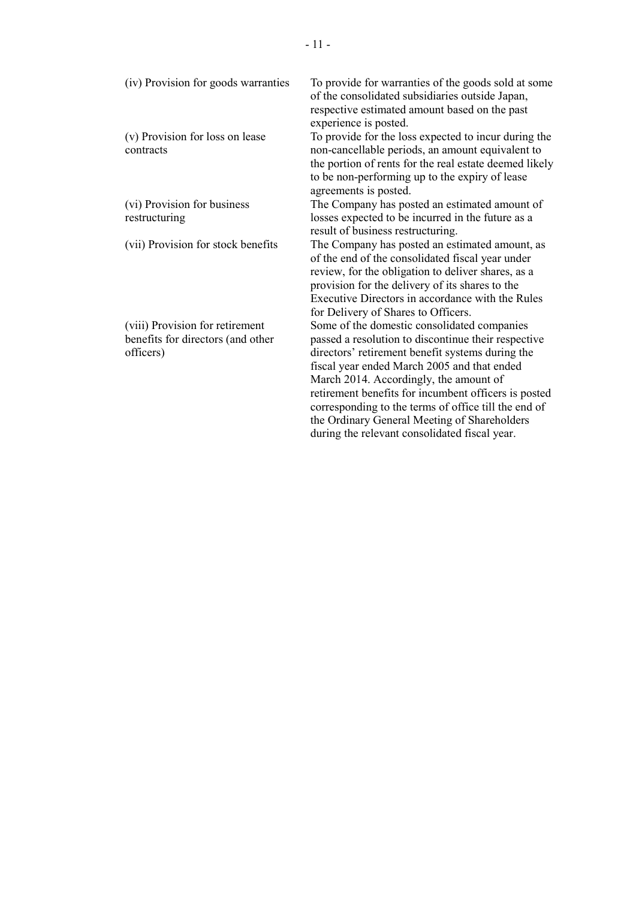(iv) Provision for goods warranties To provide for warranties of the goods sold at some of the consolidated subsidiaries outside Japan, respective estimated amount based on the past experience is posted. (v) Provision for loss on lease contracts To provide for the loss expected to incur during the non-cancellable periods, an amount equivalent to the portion of rents for the real estate deemed likely to be non-performing up to the expiry of lease agreements is posted. (vi) Provision for business restructuring The Company has posted an estimated amount of losses expected to be incurred in the future as a result of business restructuring. (vii) Provision for stock benefits The Company has posted an estimated amount, as of the end of the consolidated fiscal year under review, for the obligation to deliver shares, as a provision for the delivery of its shares to the Executive Directors in accordance with the Rules for Delivery of Shares to Officers. (viii) Provision for retirement benefits for directors (and other officers) Some of the domestic consolidated companies passed a resolution to discontinue their respective directors' retirement benefit systems during the fiscal year ended March 2005 and that ended March 2014. Accordingly, the amount of retirement benefits for incumbent officers is posted corresponding to the terms of office till the end of the Ordinary General Meeting of Shareholders

during the relevant consolidated fiscal year.

- 11 -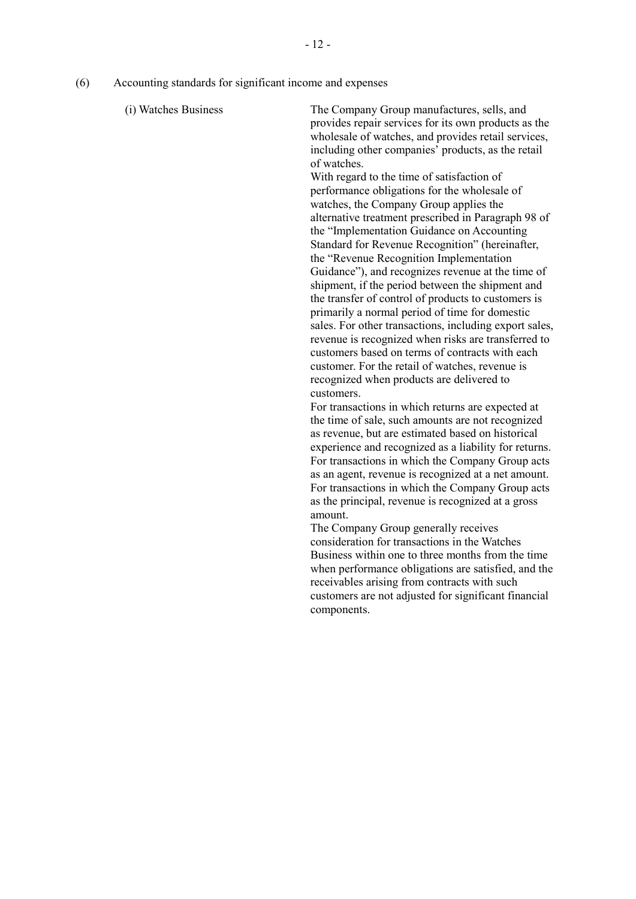(6) Accounting standards for significant income and expenses

(i) Watches Business The Company Group manufactures, sells, and provides repair services for its own products as the wholesale of watches, and provides retail services, including other companies' products, as the retail of watches.

> With regard to the time of satisfaction of performance obligations for the wholesale of watches, the Company Group applies the alternative treatment prescribed in Paragraph 98 of the "Implementation Guidance on Accounting Standard for Revenue Recognition" (hereinafter, the "Revenue Recognition Implementation Guidance"), and recognizes revenue at the time of shipment, if the period between the shipment and the transfer of control of products to customers is primarily a normal period of time for domestic sales. For other transactions, including export sales, revenue is recognized when risks are transferred to customers based on terms of contracts with each customer. For the retail of watches, revenue is recognized when products are delivered to customers.

> For transactions in which returns are expected at the time of sale, such amounts are not recognized as revenue, but are estimated based on historical experience and recognized as a liability for returns. For transactions in which the Company Group acts as an agent, revenue is recognized at a net amount. For transactions in which the Company Group acts as the principal, revenue is recognized at a gross amount.

> The Company Group generally receives consideration for transactions in the Watches Business within one to three months from the time when performance obligations are satisfied, and the receivables arising from contracts with such customers are not adjusted for significant financial components.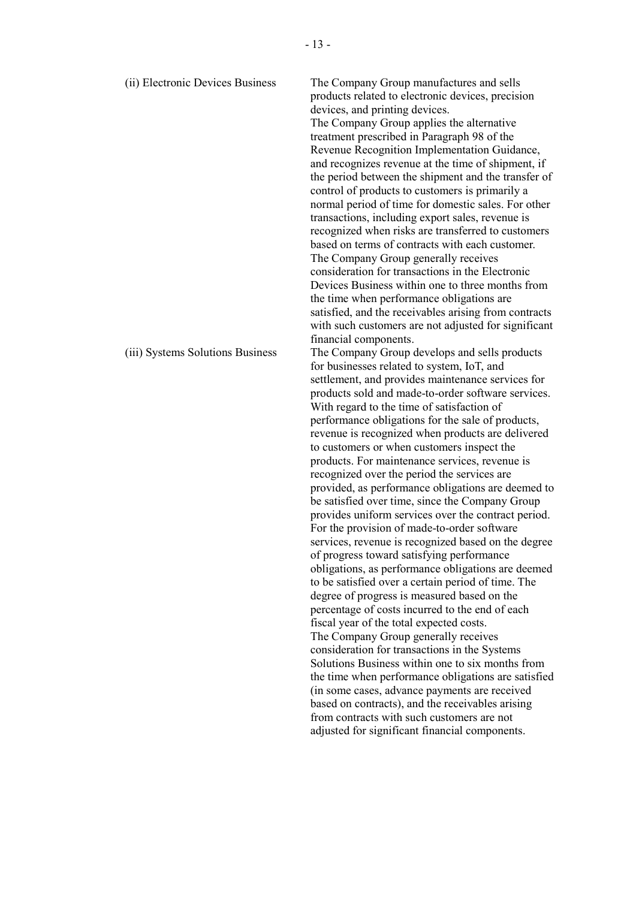| (ii) Electronic Devices Business | The Company Group manufactures and sells<br>products related to electronic devices, precision<br>devices, and printing devices.<br>The Company Group applies the alternative<br>treatment prescribed in Paragraph 98 of the<br>Revenue Recognition Implementation Guidance,<br>and recognizes revenue at the time of shipment, if<br>the period between the shipment and the transfer of<br>control of products to customers is primarily a<br>normal period of time for domestic sales. For other<br>transactions, including export sales, revenue is<br>recognized when risks are transferred to customers<br>based on terms of contracts with each customer.<br>The Company Group generally receives<br>consideration for transactions in the Electronic<br>Devices Business within one to three months from<br>the time when performance obligations are<br>satisfied, and the receivables arising from contracts<br>with such customers are not adjusted for significant<br>financial components.                                                                                                                                                                                                                                                                                                                                                                                                                                                                                              |
|----------------------------------|-----------------------------------------------------------------------------------------------------------------------------------------------------------------------------------------------------------------------------------------------------------------------------------------------------------------------------------------------------------------------------------------------------------------------------------------------------------------------------------------------------------------------------------------------------------------------------------------------------------------------------------------------------------------------------------------------------------------------------------------------------------------------------------------------------------------------------------------------------------------------------------------------------------------------------------------------------------------------------------------------------------------------------------------------------------------------------------------------------------------------------------------------------------------------------------------------------------------------------------------------------------------------------------------------------------------------------------------------------------------------------------------------------------------------------------------------------------------------------------------------------|
| (iii) Systems Solutions Business | The Company Group develops and sells products<br>for businesses related to system, IoT, and<br>settlement, and provides maintenance services for<br>products sold and made-to-order software services.<br>With regard to the time of satisfaction of<br>performance obligations for the sale of products,<br>revenue is recognized when products are delivered<br>to customers or when customers inspect the<br>products. For maintenance services, revenue is<br>recognized over the period the services are<br>provided, as performance obligations are deemed to<br>be satisfied over time, since the Company Group<br>provides uniform services over the contract period.<br>For the provision of made-to-order software<br>services, revenue is recognized based on the degree<br>of progress toward satisfying performance<br>obligations, as performance obligations are deemed<br>to be satisfied over a certain period of time. The<br>degree of progress is measured based on the<br>percentage of costs incurred to the end of each<br>fiscal year of the total expected costs.<br>The Company Group generally receives<br>consideration for transactions in the Systems<br>Solutions Business within one to six months from<br>the time when performance obligations are satisfied<br>(in some cases, advance payments are received<br>based on contracts), and the receivables arising<br>from contracts with such customers are not<br>adjusted for significant financial components. |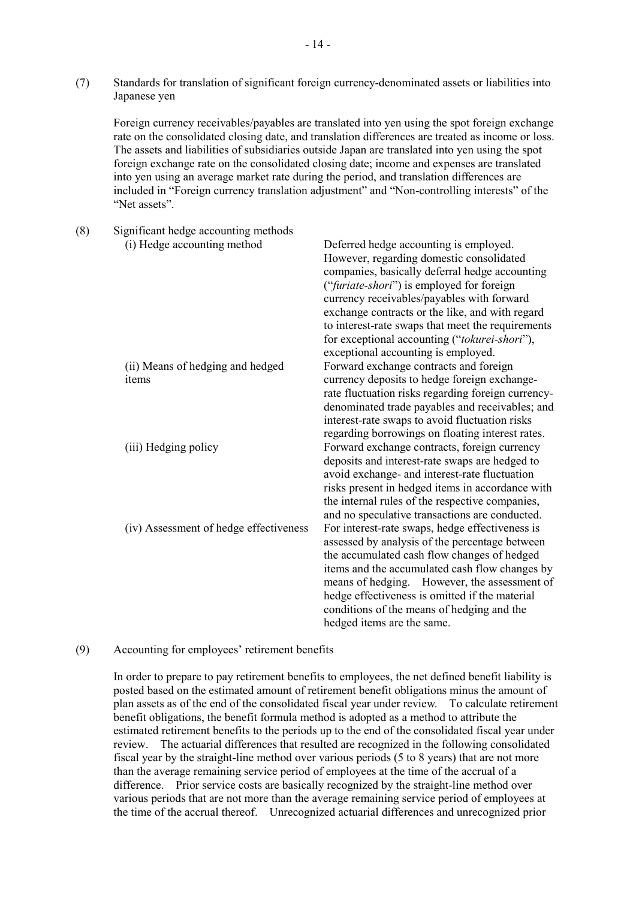(7) Standards for translation of significant foreign currency-denominated assets or liabilities into Japanese yen

Foreign currency receivables/payables are translated into yen using the spot foreign exchange rate on the consolidated closing date, and translation differences are treated as income or loss. The assets and liabilities of subsidiaries outside Japan are translated into yen using the spot foreign exchange rate on the consolidated closing date; income and expenses are translated into yen using an average market rate during the period, and translation differences are included in "Foreign currency translation adjustment" and "Non-controlling interests" of the "Net assets".

(8) Significant hedge accounting methods (i) Hedge accounting method Deferred hedge accounting is employed. However, regarding domestic consolidated companies, basically deferral hedge accounting ("*furiate-shori*") is employed for foreign currency receivables/payables with forward exchange contracts or the like, and with regard to interest-rate swaps that meet the requirements for exceptional accounting ("*tokurei-shori*"), exceptional accounting is employed. (ii) Means of hedging and hedged items Forward exchange contracts and foreign currency deposits to hedge foreign exchangerate fluctuation risks regarding foreign currencydenominated trade payables and receivables; and interest-rate swaps to avoid fluctuation risks regarding borrowings on floating interest rates. (iii) Hedging policy Forward exchange contracts, foreign currency deposits and interest-rate swaps are hedged to avoid exchange- and interest-rate fluctuation risks present in hedged items in accordance with the internal rules of the respective companies, and no speculative transactions are conducted. (iv) Assessment of hedge effectiveness For interest-rate swaps, hedge effectiveness is assessed by analysis of the percentage between the accumulated cash flow changes of hedged items and the accumulated cash flow changes by means of hedging. However, the assessment of hedge effectiveness is omitted if the material conditions of the means of hedging and the hedged items are the same.

#### (9) Accounting for employees' retirement benefits

In order to prepare to pay retirement benefits to employees, the net defined benefit liability is posted based on the estimated amount of retirement benefit obligations minus the amount of plan assets as of the end of the consolidated fiscal year under review. To calculate retirement benefit obligations, the benefit formula method is adopted as a method to attribute the estimated retirement benefits to the periods up to the end of the consolidated fiscal year under review. The actuarial differences that resulted are recognized in the following consolidated fiscal year by the straight-line method over various periods (5 to 8 years) that are not more than the average remaining service period of employees at the time of the accrual of a difference. Prior service costs are basically recognized by the straight-line method over various periods that are not more than the average remaining service period of employees at the time of the accrual thereof. Unrecognized actuarial differences and unrecognized prior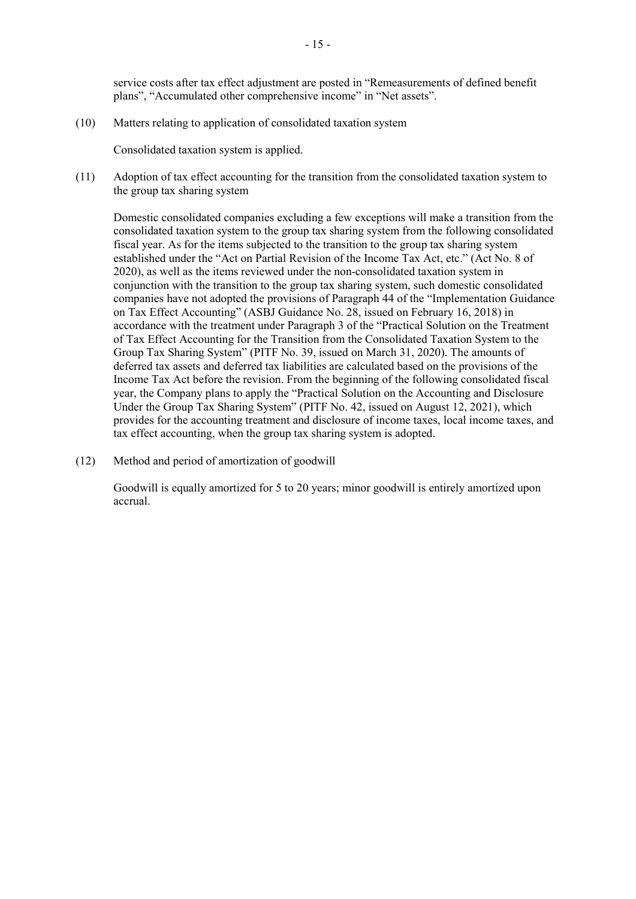service costs after tax effect adjustment are posted in "Remeasurements of defined benefit plans", "Accumulated other comprehensive income" in "Net assets".

(10) Matters relating to application of consolidated taxation system

Consolidated taxation system is applied.

(11) Adoption of tax effect accounting for the transition from the consolidated taxation system to the group tax sharing system

Domestic consolidated companies excluding a few exceptions will make a transition from the consolidated taxation system to the group tax sharing system from the following consolidated fiscal year. As for the items subjected to the transition to the group tax sharing system established under the "Act on Partial Revision of the Income Tax Act, etc." (Act No. 8 of 2020), as well as the items reviewed under the non-consolidated taxation system in conjunction with the transition to the group tax sharing system, such domestic consolidated companies have not adopted the provisions of Paragraph 44 of the "Implementation Guidance on Tax Effect Accounting" (ASBJ Guidance No. 28, issued on February 16, 2018) in accordance with the treatment under Paragraph 3 of the "Practical Solution on the Treatment of Tax Effect Accounting for the Transition from the Consolidated Taxation System to the Group Tax Sharing System" (PITF No. 39, issued on March 31, 2020). The amounts of deferred tax assets and deferred tax liabilities are calculated based on the provisions of the Income Tax Act before the revision. From the beginning of the following consolidated fiscal year, the Company plans to apply the "Practical Solution on the Accounting and Disclosure Under the Group Tax Sharing System" (PITF No. 42, issued on August 12, 2021), which provides for the accounting treatment and disclosure of income taxes, local income taxes, and tax effect accounting, when the group tax sharing system is adopted.

(12) Method and period of amortization of goodwill

Goodwill is equally amortized for 5 to 20 years; minor goodwill is entirely amortized upon accrual.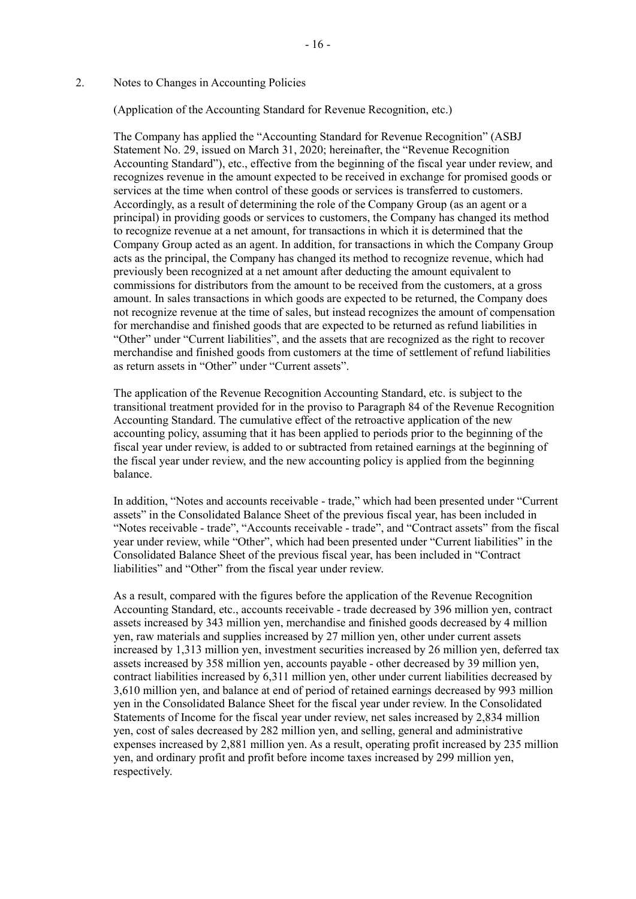# 2. Notes to Changes in Accounting Policies

(Application of the Accounting Standard for Revenue Recognition, etc.)

- 16 -

The Company has applied the "Accounting Standard for Revenue Recognition" (ASBJ Statement No. 29, issued on March 31, 2020; hereinafter, the "Revenue Recognition Accounting Standard"), etc., effective from the beginning of the fiscal year under review, and recognizes revenue in the amount expected to be received in exchange for promised goods or services at the time when control of these goods or services is transferred to customers. Accordingly, as a result of determining the role of the Company Group (as an agent or a principal) in providing goods or services to customers, the Company has changed its method to recognize revenue at a net amount, for transactions in which it is determined that the Company Group acted as an agent. In addition, for transactions in which the Company Group acts as the principal, the Company has changed its method to recognize revenue, which had previously been recognized at a net amount after deducting the amount equivalent to commissions for distributors from the amount to be received from the customers, at a gross amount. In sales transactions in which goods are expected to be returned, the Company does not recognize revenue at the time of sales, but instead recognizes the amount of compensation for merchandise and finished goods that are expected to be returned as refund liabilities in "Other" under "Current liabilities", and the assets that are recognized as the right to recover merchandise and finished goods from customers at the time of settlement of refund liabilities as return assets in "Other" under "Current assets".

The application of the Revenue Recognition Accounting Standard, etc. is subject to the transitional treatment provided for in the proviso to Paragraph 84 of the Revenue Recognition Accounting Standard. The cumulative effect of the retroactive application of the new accounting policy, assuming that it has been applied to periods prior to the beginning of the fiscal year under review, is added to or subtracted from retained earnings at the beginning of the fiscal year under review, and the new accounting policy is applied from the beginning balance.

In addition, "Notes and accounts receivable - trade," which had been presented under "Current assets" in the Consolidated Balance Sheet of the previous fiscal year, has been included in "Notes receivable - trade", "Accounts receivable - trade", and "Contract assets" from the fiscal year under review, while "Other", which had been presented under "Current liabilities" in the Consolidated Balance Sheet of the previous fiscal year, has been included in "Contract liabilities" and "Other" from the fiscal year under review.

As a result, compared with the figures before the application of the Revenue Recognition Accounting Standard, etc., accounts receivable - trade decreased by 396 million yen, contract assets increased by 343 million yen, merchandise and finished goods decreased by 4 million yen, raw materials and supplies increased by 27 million yen, other under current assets increased by 1,313 million yen, investment securities increased by 26 million yen, deferred tax assets increased by 358 million yen, accounts payable - other decreased by 39 million yen, contract liabilities increased by 6,311 million yen, other under current liabilities decreased by 3,610 million yen, and balance at end of period of retained earnings decreased by 993 million yen in the Consolidated Balance Sheet for the fiscal year under review. In the Consolidated Statements of Income for the fiscal year under review, net sales increased by 2,834 million yen, cost of sales decreased by 282 million yen, and selling, general and administrative expenses increased by 2,881 million yen. As a result, operating profit increased by 235 million yen, and ordinary profit and profit before income taxes increased by 299 million yen, respectively.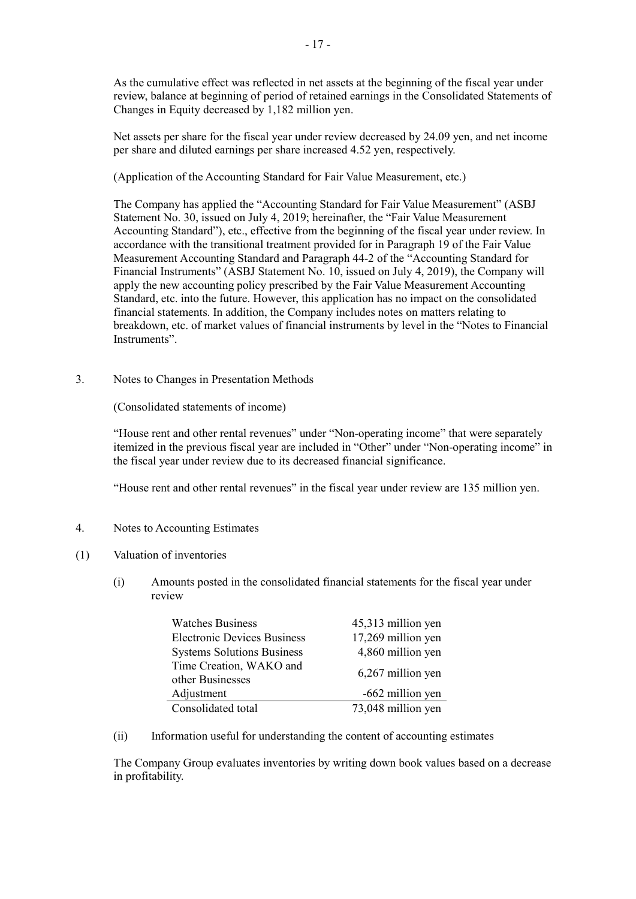As the cumulative effect was reflected in net assets at the beginning of the fiscal year under review, balance at beginning of period of retained earnings in the Consolidated Statements of Changes in Equity decreased by 1,182 million yen.

Net assets per share for the fiscal year under review decreased by 24.09 yen, and net income per share and diluted earnings per share increased 4.52 yen, respectively.

(Application of the Accounting Standard for Fair Value Measurement, etc.)

The Company has applied the "Accounting Standard for Fair Value Measurement" (ASBJ Statement No. 30, issued on July 4, 2019; hereinafter, the "Fair Value Measurement Accounting Standard"), etc., effective from the beginning of the fiscal year under review. In accordance with the transitional treatment provided for in Paragraph 19 of the Fair Value Measurement Accounting Standard and Paragraph 44-2 of the "Accounting Standard for Financial Instruments" (ASBJ Statement No. 10, issued on July 4, 2019), the Company will apply the new accounting policy prescribed by the Fair Value Measurement Accounting Standard, etc. into the future. However, this application has no impact on the consolidated financial statements. In addition, the Company includes notes on matters relating to breakdown, etc. of market values of financial instruments by level in the "Notes to Financial Instruments".

3. Notes to Changes in Presentation Methods

(Consolidated statements of income)

"House rent and other rental revenues" under "Non-operating income" that were separately itemized in the previous fiscal year are included in "Other" under "Non-operating income" in the fiscal year under review due to its decreased financial significance.

"House rent and other rental revenues" in the fiscal year under review are 135 million yen.

- 4. Notes to Accounting Estimates
- (1) Valuation of inventories
	- (i) Amounts posted in the consolidated financial statements for the fiscal year under review

| <b>Watches Business</b>                     | 45,313 million yen |
|---------------------------------------------|--------------------|
| <b>Electronic Devices Business</b>          | 17,269 million yen |
| <b>Systems Solutions Business</b>           | 4,860 million yen  |
| Time Creation, WAKO and<br>other Businesses | 6,267 million yen  |
| Adjustment                                  | -662 million yen   |
| Consolidated total                          | 73,048 million yen |

(ii) Information useful for understanding the content of accounting estimates

The Company Group evaluates inventories by writing down book values based on a decrease in profitability.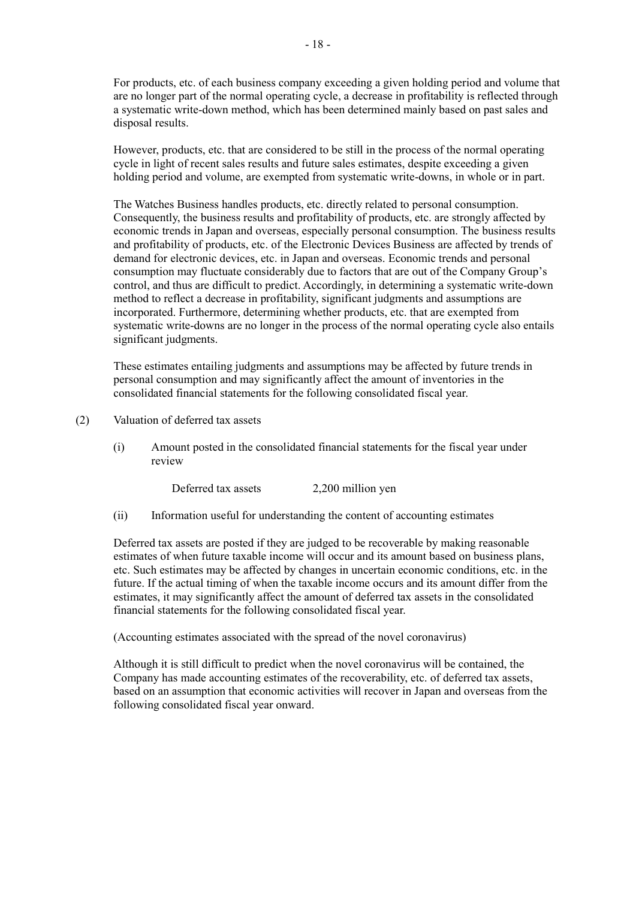For products, etc. of each business company exceeding a given holding period and volume that are no longer part of the normal operating cycle, a decrease in profitability is reflected through a systematic write-down method, which has been determined mainly based on past sales and disposal results.

However, products, etc. that are considered to be still in the process of the normal operating cycle in light of recent sales results and future sales estimates, despite exceeding a given holding period and volume, are exempted from systematic write-downs, in whole or in part.

The Watches Business handles products, etc. directly related to personal consumption. Consequently, the business results and profitability of products, etc. are strongly affected by economic trends in Japan and overseas, especially personal consumption. The business results and profitability of products, etc. of the Electronic Devices Business are affected by trends of demand for electronic devices, etc. in Japan and overseas. Economic trends and personal consumption may fluctuate considerably due to factors that are out of the Company Group's control, and thus are difficult to predict. Accordingly, in determining a systematic write-down method to reflect a decrease in profitability, significant judgments and assumptions are incorporated. Furthermore, determining whether products, etc. that are exempted from systematic write-downs are no longer in the process of the normal operating cycle also entails significant judgments.

These estimates entailing judgments and assumptions may be affected by future trends in personal consumption and may significantly affect the amount of inventories in the consolidated financial statements for the following consolidated fiscal year.

(2) Valuation of deferred tax assets

(i) Amount posted in the consolidated financial statements for the fiscal year under review

Deferred tax assets 2,200 million yen

(ii) Information useful for understanding the content of accounting estimates

Deferred tax assets are posted if they are judged to be recoverable by making reasonable estimates of when future taxable income will occur and its amount based on business plans, etc. Such estimates may be affected by changes in uncertain economic conditions, etc. in the future. If the actual timing of when the taxable income occurs and its amount differ from the estimates, it may significantly affect the amount of deferred tax assets in the consolidated financial statements for the following consolidated fiscal year.

(Accounting estimates associated with the spread of the novel coronavirus)

Although it is still difficult to predict when the novel coronavirus will be contained, the Company has made accounting estimates of the recoverability, etc. of deferred tax assets, based on an assumption that economic activities will recover in Japan and overseas from the following consolidated fiscal year onward.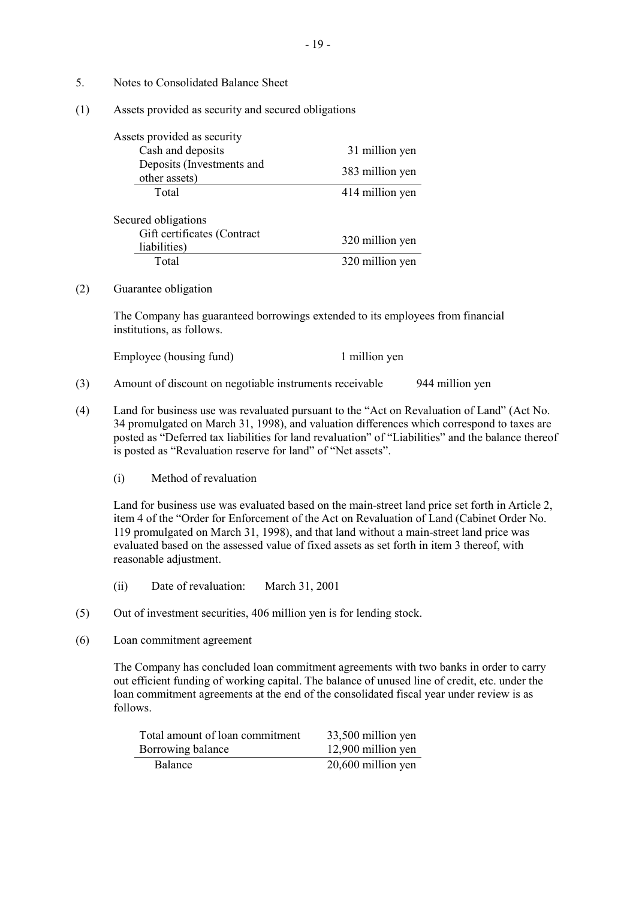- 5. Notes to Consolidated Balance Sheet
- (1) Assets provided as security and secured obligations

| Assets provided as security                                        |                 |
|--------------------------------------------------------------------|-----------------|
| Cash and deposits                                                  | 31 million yen  |
| Deposits (Investments and<br>other assets)                         | 383 million yen |
| Total                                                              | 414 million yen |
| Secured obligations<br>Gift certificates (Contract<br>liabilities) | 320 million yen |
| Total                                                              | 320 million yen |

#### (2) Guarantee obligation

The Company has guaranteed borrowings extended to its employees from financial institutions, as follows.

| Employee (housing fund) | 1 million ven |
|-------------------------|---------------|
|-------------------------|---------------|

- (3) Amount of discount on negotiable instruments receivable 944 million yen
- (4) Land for business use was revaluated pursuant to the "Act on Revaluation of Land" (Act No. 34 promulgated on March 31, 1998), and valuation differences which correspond to taxes are posted as "Deferred tax liabilities for land revaluation" of "Liabilities" and the balance thereof is posted as "Revaluation reserve for land" of "Net assets".
	- (i) Method of revaluation

Land for business use was evaluated based on the main-street land price set forth in Article 2, item 4 of the "Order for Enforcement of the Act on Revaluation of Land (Cabinet Order No. 119 promulgated on March 31, 1998), and that land without a main-street land price was evaluated based on the assessed value of fixed assets as set forth in item 3 thereof, with reasonable adjustment.

- (ii) Date of revaluation: March 31, 2001
- (5) Out of investment securities, 406 million yen is for lending stock.
- (6) Loan commitment agreement

The Company has concluded loan commitment agreements with two banks in order to carry out efficient funding of working capital. The balance of unused line of credit, etc. under the loan commitment agreements at the end of the consolidated fiscal year under review is as follows.

| Total amount of loan commitment | 33,500 million yen |
|---------------------------------|--------------------|
| Borrowing balance               | 12,900 million yen |
| <b>Balance</b>                  | 20,600 million yen |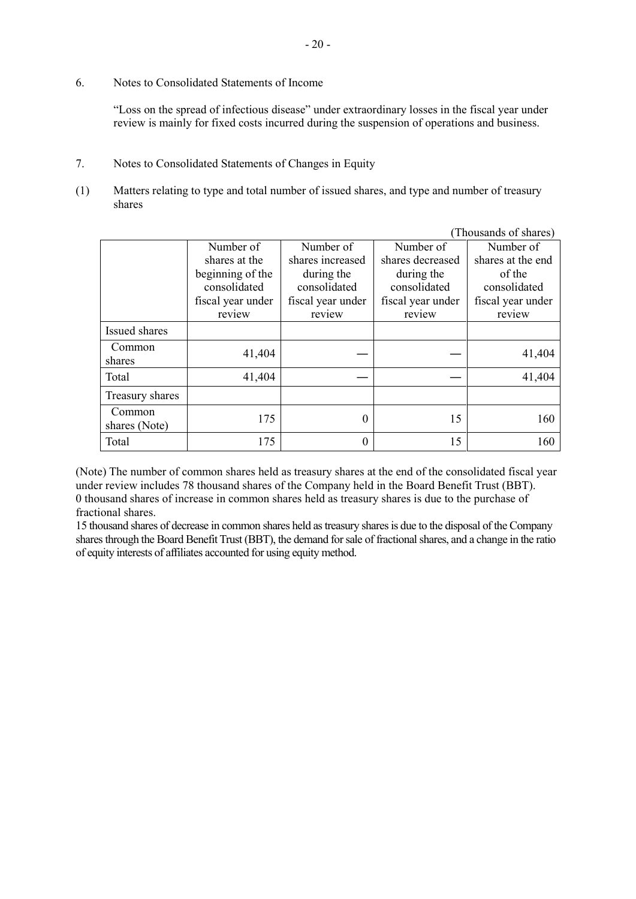6. Notes to Consolidated Statements of Income

"Loss on the spread of infectious disease" under extraordinary losses in the fiscal year under review is mainly for fixed costs incurred during the suspension of operations and business.

- 7. Notes to Consolidated Statements of Changes in Equity
- (1) Matters relating to type and total number of issued shares, and type and number of treasury shares

|                  |                   |                   |                   | (Thousands of shares) |
|------------------|-------------------|-------------------|-------------------|-----------------------|
|                  | Number of         | Number of         | Number of         | Number of             |
|                  | shares at the     | shares increased  | shares decreased  | shares at the end     |
|                  | beginning of the  | during the        | during the        | of the                |
|                  | consolidated      | consolidated      | consolidated      | consolidated          |
|                  | fiscal year under | fiscal year under | fiscal year under | fiscal year under     |
|                  | review            | review            | review            | review                |
| Issued shares    |                   |                   |                   |                       |
| Common<br>shares | 41,404            |                   |                   | 41,404                |
| Total            | 41,404            |                   |                   | 41,404                |
|                  |                   |                   |                   |                       |
| Treasury shares  |                   |                   |                   |                       |
| Common           | 175               | 0                 | 15                | 160                   |
| shares (Note)    |                   |                   |                   |                       |
| Total            | 175               | 0                 | 15                | 160                   |

(Note) The number of common shares held as treasury shares at the end of the consolidated fiscal year under review includes 78 thousand shares of the Company held in the Board Benefit Trust (BBT). 0 thousand shares of increase in common shares held as treasury shares is due to the purchase of fractional shares.

15 thousand shares of decrease in common shares held as treasury shares is due to the disposal of the Company shares through the Board Benefit Trust (BBT), the demand for sale of fractional shares, and a change in the ratio of equity interests of affiliates accounted for using equity method.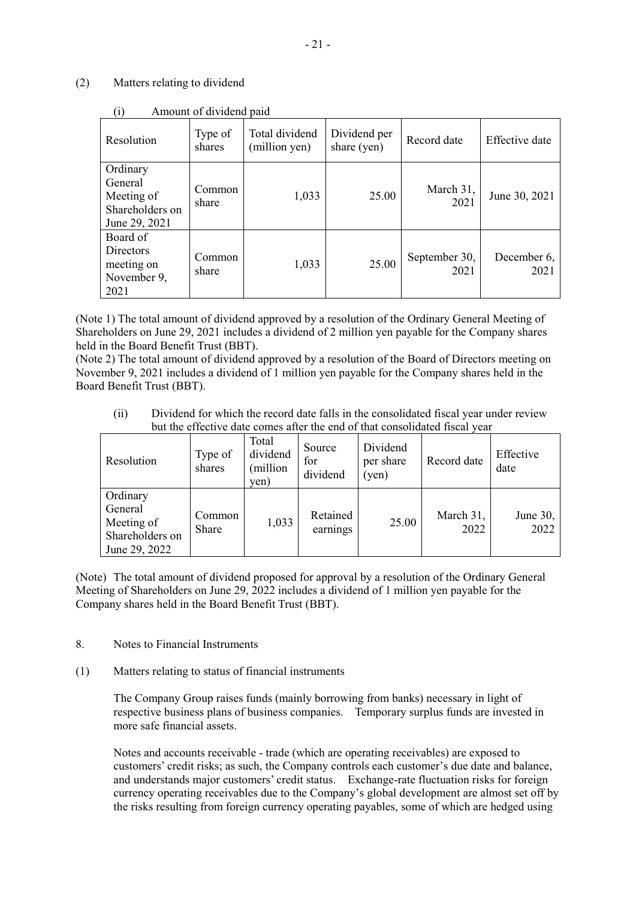# (2) Matters relating to dividend

| $\sqrt{ }$<br>Resolution                                              | Type of<br>shares | Total dividend<br>(million yen) | Dividend per<br>share (yen) | Record date           | <b>Effective</b> date |
|-----------------------------------------------------------------------|-------------------|---------------------------------|-----------------------------|-----------------------|-----------------------|
| Ordinary<br>General<br>Meeting of<br>Shareholders on<br>June 29, 2021 | Common<br>share   | 1,033                           | 25.00                       | March 31,<br>2021     | June 30, 2021         |
| Board of<br><b>Directors</b><br>meeting on<br>November 9,<br>2021     | Common<br>share   | 1,033                           | 25.00                       | September 30,<br>2021 | December 6,<br>2021   |

(i) Amount of dividend paid

(Note 1) The total amount of dividend approved by a resolution of the Ordinary General Meeting of Shareholders on June 29, 2021 includes a dividend of 2 million yen payable for the Company shares held in the Board Benefit Trust (BBT).

(Note 2) The total amount of dividend approved by a resolution of the Board of Directors meeting on November 9, 2021 includes a dividend of 1 million yen payable for the Company shares held in the Board Benefit Trust (BBT).

(ii) Dividend for which the record date falls in the consolidated fiscal year under review but the effective date comes after the end of that consolidated fiscal year

| Resolution                                                            | Type of<br>shares | Total<br>dividend<br>(million<br>yen) | Source<br>for<br>dividend | Dividend<br>per share<br>(yen) | Record date       | Effective<br>date |
|-----------------------------------------------------------------------|-------------------|---------------------------------------|---------------------------|--------------------------------|-------------------|-------------------|
| Ordinary<br>General<br>Meeting of<br>Shareholders on<br>June 29, 2022 | Common<br>Share   | 1,033                                 | Retained<br>earnings      | 25.00                          | March 31,<br>2022 | June 30,<br>2022  |

(Note) The total amount of dividend proposed for approval by a resolution of the Ordinary General Meeting of Shareholders on June 29, 2022 includes a dividend of 1 million yen payable for the Company shares held in the Board Benefit Trust (BBT).

- 8. Notes to Financial Instruments
- (1) Matters relating to status of financial instruments

The Company Group raises funds (mainly borrowing from banks) necessary in light of respective business plans of business companies. Temporary surplus funds are invested in more safe financial assets.

Notes and accounts receivable - trade (which are operating receivables) are exposed to customers' credit risks; as such, the Company controls each customer's due date and balance, and understands major customers' credit status. Exchange-rate fluctuation risks for foreign currency operating receivables due to the Company's global development are almost set off by the risks resulting from foreign currency operating payables, some of which are hedged using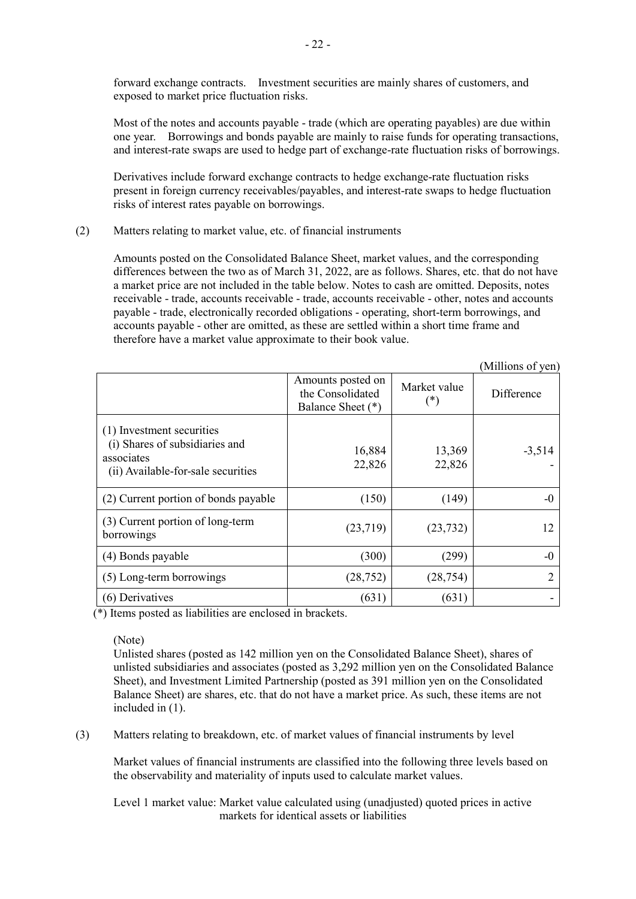forward exchange contracts. Investment securities are mainly shares of customers, and exposed to market price fluctuation risks.

Most of the notes and accounts payable - trade (which are operating payables) are due within one year. Borrowings and bonds payable are mainly to raise funds for operating transactions, and interest-rate swaps are used to hedge part of exchange-rate fluctuation risks of borrowings.

Derivatives include forward exchange contracts to hedge exchange-rate fluctuation risks present in foreign currency receivables/payables, and interest-rate swaps to hedge fluctuation risks of interest rates payable on borrowings.

### (2) Matters relating to market value, etc. of financial instruments

Amounts posted on the Consolidated Balance Sheet, market values, and the corresponding differences between the two as of March 31, 2022, are as follows. Shares, etc. that do not have a market price are not included in the table below. Notes to cash are omitted. Deposits, notes receivable - trade, accounts receivable - trade, accounts receivable - other, notes and accounts payable - trade, electronically recorded obligations - operating, short-term borrowings, and accounts payable - other are omitted, as these are settled within a short time frame and therefore have a market value approximate to their book value.

|                                                                                                                 |                                                            |                               | (Millions of yen) |
|-----------------------------------------------------------------------------------------------------------------|------------------------------------------------------------|-------------------------------|-------------------|
|                                                                                                                 | Amounts posted on<br>the Consolidated<br>Balance Sheet (*) | Market value<br>$(\hbox{}^*)$ | Difference        |
| (1) Investment securities<br>(i) Shares of subsidiaries and<br>associates<br>(ii) Available-for-sale securities | 16,884<br>22,826                                           | 13,369<br>22,826              | $-3,514$          |
| (2) Current portion of bonds payable                                                                            | (150)                                                      | (149)                         | $-0$              |
| (3) Current portion of long-term<br>borrowings                                                                  | (23,719)                                                   | (23, 732)                     | 12                |
| (4) Bonds payable                                                                                               | (300)                                                      | (299)                         | $-0$              |
| (5) Long-term borrowings                                                                                        | (28, 752)                                                  | (28, 754)                     | 2                 |
| (6) Derivatives                                                                                                 | (631)                                                      | (631)                         |                   |

(\*) Items posted as liabilities are enclosed in brackets.

#### (Note)

Unlisted shares (posted as 142 million yen on the Consolidated Balance Sheet), shares of unlisted subsidiaries and associates (posted as 3,292 million yen on the Consolidated Balance Sheet), and Investment Limited Partnership (posted as 391 million yen on the Consolidated Balance Sheet) are shares, etc. that do not have a market price. As such, these items are not included in (1).

(3) Matters relating to breakdown, etc. of market values of financial instruments by level

Market values of financial instruments are classified into the following three levels based on the observability and materiality of inputs used to calculate market values.

Level 1 market value: Market value calculated using (unadjusted) quoted prices in active markets for identical assets or liabilities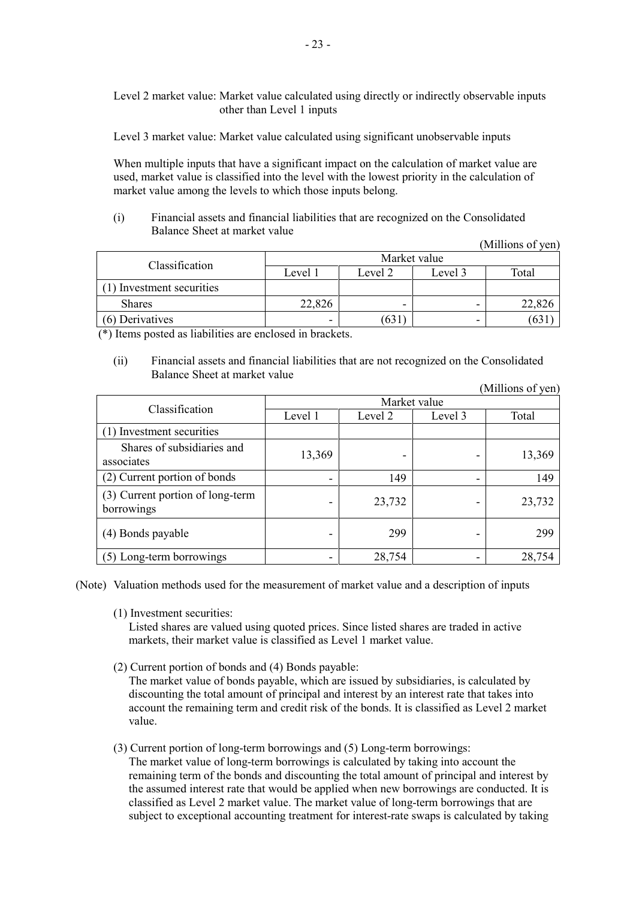Level 2 market value: Market value calculated using directly or indirectly observable inputs other than Level 1 inputs

Level 3 market value: Market value calculated using significant unobservable inputs

When multiple inputs that have a significant impact on the calculation of market value are used, market value is classified into the level with the lowest priority in the calculation of market value among the levels to which those inputs belong.

(i) Financial assets and financial liabilities that are recognized on the Consolidated Balance Sheet at market value

(Millions of yen)

| Classification            | Market value |         |         |       |  |  |
|---------------------------|--------------|---------|---------|-------|--|--|
|                           | Level 1      | Level 2 | Level 3 | Total |  |  |
| (1) Investment securities |              |         |         |       |  |  |
| <b>Shares</b>             | 22,826       | -       |         |       |  |  |
| (6) Derivatives           | -            | 03 I    | -       | 03    |  |  |

(\*) Items posted as liabilities are enclosed in brackets.

(ii) Financial assets and financial liabilities that are not recognized on the Consolidated Balance Sheet at market value

|                                                |         |              |         | (Millions of yen) |  |  |  |
|------------------------------------------------|---------|--------------|---------|-------------------|--|--|--|
|                                                |         | Market value |         |                   |  |  |  |
| Classification                                 | Level 1 | Level 2      | Level 3 | Total             |  |  |  |
| (1) Investment securities                      |         |              |         |                   |  |  |  |
| Shares of subsidiaries and<br>associates       | 13,369  |              |         | 13,369            |  |  |  |
| (2) Current portion of bonds                   |         | 149          |         | 149               |  |  |  |
| (3) Current portion of long-term<br>borrowings |         | 23,732       |         | 23,732            |  |  |  |
| (4) Bonds payable                              |         | 299          |         | 299               |  |  |  |
| (5) Long-term borrowings                       |         | 28,754       |         | 28,754            |  |  |  |

(Note) Valuation methods used for the measurement of market value and a description of inputs

(1) Investment securities:

Listed shares are valued using quoted prices. Since listed shares are traded in active markets, their market value is classified as Level 1 market value.

(2) Current portion of bonds and (4) Bonds payable:

The market value of bonds payable, which are issued by subsidiaries, is calculated by discounting the total amount of principal and interest by an interest rate that takes into account the remaining term and credit risk of the bonds. It is classified as Level 2 market value.

(3) Current portion of long-term borrowings and (5) Long-term borrowings: The market value of long-term borrowings is calculated by taking into account the remaining term of the bonds and discounting the total amount of principal and interest by the assumed interest rate that would be applied when new borrowings are conducted. It is classified as Level 2 market value. The market value of long-term borrowings that are subject to exceptional accounting treatment for interest-rate swaps is calculated by taking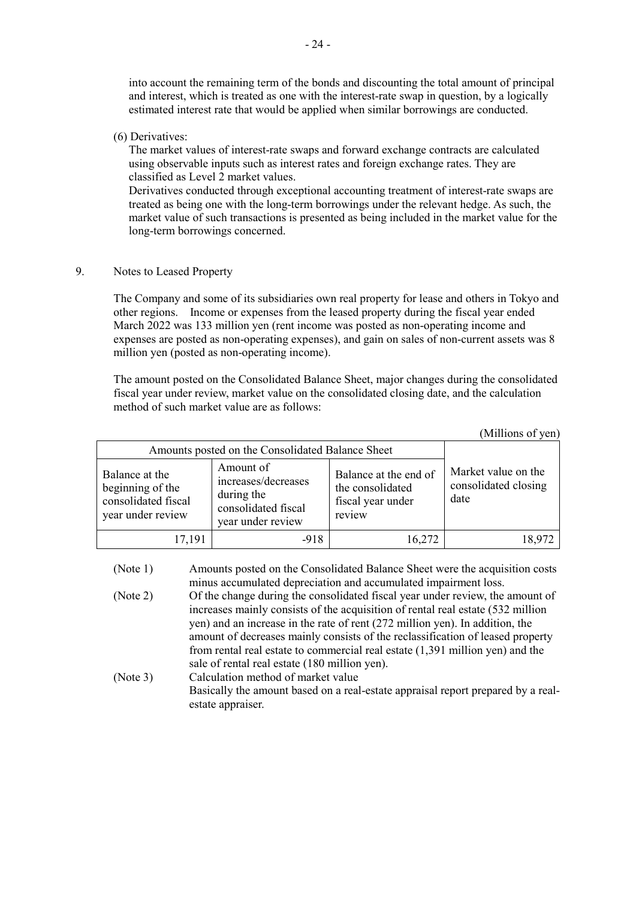into account the remaining term of the bonds and discounting the total amount of principal and interest, which is treated as one with the interest-rate swap in question, by a logically estimated interest rate that would be applied when similar borrowings are conducted.

(6) Derivatives:

The market values of interest-rate swaps and forward exchange contracts are calculated using observable inputs such as interest rates and foreign exchange rates. They are classified as Level 2 market values.

Derivatives conducted through exceptional accounting treatment of interest-rate swaps are treated as being one with the long-term borrowings under the relevant hedge. As such, the market value of such transactions is presented as being included in the market value for the long-term borrowings concerned.

9. Notes to Leased Property

The Company and some of its subsidiaries own real property for lease and others in Tokyo and other regions. Income or expenses from the leased property during the fiscal year ended March 2022 was 133 million yen (rent income was posted as non-operating income and expenses are posted as non-operating expenses), and gain on sales of non-current assets was 8 million yen (posted as non-operating income).

The amount posted on the Consolidated Balance Sheet, major changes during the consolidated fiscal year under review, market value on the consolidated closing date, and the calculation method of such market value are as follows:

|                                                                                |                                                                                            |                                                                          | (Millions of yen)                                   |  |  |  |
|--------------------------------------------------------------------------------|--------------------------------------------------------------------------------------------|--------------------------------------------------------------------------|-----------------------------------------------------|--|--|--|
|                                                                                | Amounts posted on the Consolidated Balance Sheet                                           |                                                                          |                                                     |  |  |  |
| Balance at the<br>beginning of the<br>consolidated fiscal<br>year under review | Amount of<br>increases/decreases<br>during the<br>consolidated fiscal<br>year under review | Balance at the end of<br>the consolidated<br>fiscal year under<br>review | Market value on the<br>consolidated closing<br>date |  |  |  |
| 17,191                                                                         | -918                                                                                       | 16,272                                                                   | 18,972                                              |  |  |  |

| (Note 1) | Amounts posted on the Consolidated Balance Sheet were the acquisition costs      |
|----------|----------------------------------------------------------------------------------|
|          | minus accumulated depreciation and accumulated impairment loss.                  |
| (Note 2) | Of the change during the consolidated fiscal year under review, the amount of    |
|          | increases mainly consists of the acquisition of rental real estate (532 million  |
|          | yen) and an increase in the rate of rent (272 million yen). In addition, the     |
|          | amount of decreases mainly consists of the reclassification of leased property   |
|          | from rental real estate to commercial real estate $(1,391)$ million yen) and the |
|          | sale of rental real estate (180 million yen).                                    |
| (Note 3) | Calculation method of market value                                               |
|          | Basically the amount based on a real-estate appraisal report prepared by a real- |
|          | estate appraiser.                                                                |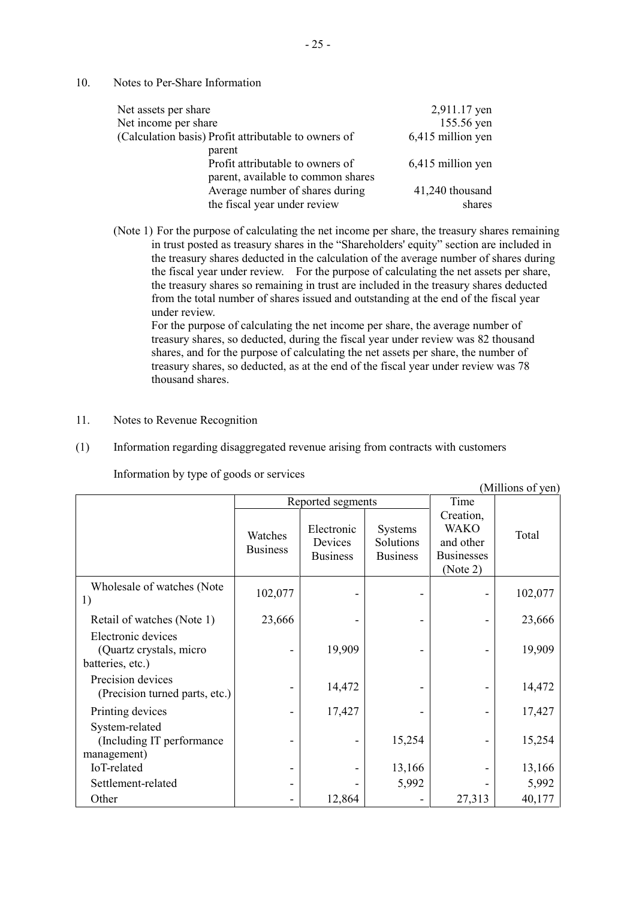10. Notes to Per-Share Information

| Net assets per share                                                             | 2,911.17 yen              |
|----------------------------------------------------------------------------------|---------------------------|
| Net income per share                                                             | 155.56 yen                |
| (Calculation basis) Profit attributable to owners of                             | 6,415 million yen         |
| parent<br>Profit attributable to owners of<br>parent, available to common shares | 6,415 million yen         |
| Average number of shares during<br>the fiscal year under review                  | 41,240 thousand<br>shares |

(Note 1) For the purpose of calculating the net income per share, the treasury shares remaining in trust posted as treasury shares in the "Shareholders' equity" section are included in the treasury shares deducted in the calculation of the average number of shares during the fiscal year under review. For the purpose of calculating the net assets per share, the treasury shares so remaining in trust are included in the treasury shares deducted from the total number of shares issued and outstanding at the end of the fiscal year under review.

For the purpose of calculating the net income per share, the average number of treasury shares, so deducted, during the fiscal year under review was 82 thousand shares, and for the purpose of calculating the net assets per share, the number of treasury shares, so deducted, as at the end of the fiscal year under review was 78 thousand shares.

- 11. Notes to Revenue Recognition
- (1) Information regarding disaggregated revenue arising from contracts with customers

| (Millions of yen)                                                  |                            |                                          |                                                |                                                                        |         |
|--------------------------------------------------------------------|----------------------------|------------------------------------------|------------------------------------------------|------------------------------------------------------------------------|---------|
|                                                                    |                            | Reported segments                        |                                                | Time                                                                   |         |
|                                                                    | Watches<br><b>Business</b> | Electronic<br>Devices<br><b>Business</b> | <b>Systems</b><br>Solutions<br><b>Business</b> | Creation,<br><b>WAKO</b><br>and other<br><b>Businesses</b><br>(Note 2) | Total   |
| Wholesale of watches (Note<br>1)                                   | 102,077                    |                                          |                                                |                                                                        | 102,077 |
| Retail of watches (Note 1)                                         | 23,666                     |                                          |                                                |                                                                        | 23,666  |
| Electronic devices<br>(Quartz crystals, micro)<br>batteries, etc.) |                            | 19,909                                   |                                                |                                                                        | 19,909  |
| Precision devices<br>(Precision turned parts, etc.)                |                            | 14,472                                   |                                                |                                                                        | 14,472  |
| Printing devices                                                   |                            | 17,427                                   |                                                |                                                                        | 17,427  |
| System-related<br>(Including IT performance<br>management)         |                            |                                          | 15,254                                         |                                                                        | 15,254  |
| IoT-related                                                        |                            |                                          | 13,166                                         |                                                                        | 13,166  |
| Settlement-related                                                 |                            |                                          | 5,992                                          |                                                                        | 5,992   |
| Other                                                              |                            | 12,864                                   |                                                | 27,313                                                                 | 40,177  |

Information by type of goods or services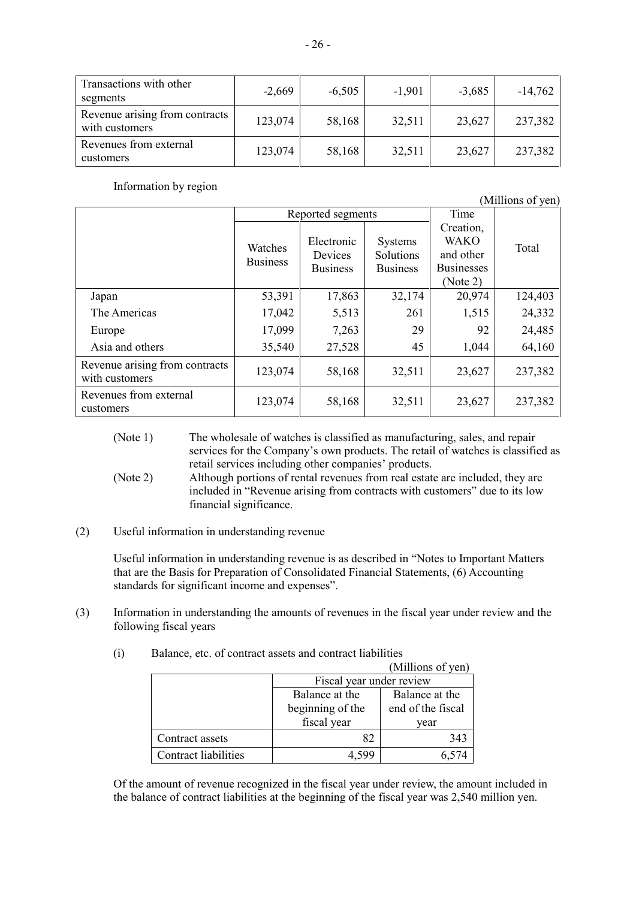| Transactions with other<br>segments              | $-2,669$ | $-6,505$ | $-1,901$ | $-3,685$ | $-14,762$ |
|--------------------------------------------------|----------|----------|----------|----------|-----------|
| Revenue arising from contracts<br>with customers | 123,074  | 58,168   | 32,511   | 23,627   | 237,382   |
| Revenues from external<br>customers              | 123,074  | 58,168   | 32,511   | 23,627   | 237,382   |

Information by region

(Millions of yen)

|                                                  | Reported segments          |                                          |                                         | Time                                                                   |         |
|--------------------------------------------------|----------------------------|------------------------------------------|-----------------------------------------|------------------------------------------------------------------------|---------|
|                                                  | Watches<br><b>Business</b> | Electronic<br>Devices<br><b>Business</b> | Systems<br>Solutions<br><b>Business</b> | Creation,<br><b>WAKO</b><br>and other<br><b>Businesses</b><br>(Note 2) | Total   |
| Japan                                            | 53,391                     | 17,863                                   | 32,174                                  | 20,974                                                                 | 124,403 |
| The Americas                                     | 17,042                     | 5,513                                    | 261                                     | 1,515                                                                  | 24,332  |
| Europe                                           | 17,099                     | 7,263                                    | 29                                      | 92                                                                     | 24,485  |
| Asia and others                                  | 35,540                     | 27,528                                   | 45                                      | 1,044                                                                  | 64,160  |
| Revenue arising from contracts<br>with customers | 123,074                    | 58,168                                   | 32,511                                  | 23,627                                                                 | 237,382 |
| Revenues from external<br>customers              | 123,074                    | 58,168                                   | 32,511                                  | 23,627                                                                 | 237,382 |

(Note 1) The wholesale of watches is classified as manufacturing, sales, and repair services for the Company's own products. The retail of watches is classified as retail services including other companies' products.

(Note 2) Although portions of rental revenues from real estate are included, they are included in "Revenue arising from contracts with customers" due to its low financial significance.

(2) Useful information in understanding revenue

Useful information in understanding revenue is as described in "Notes to Important Matters that are the Basis for Preparation of Consolidated Financial Statements, (6) Accounting standards for significant income and expenses".

(3) Information in understanding the amounts of revenues in the fiscal year under review and the following fiscal years

|                             |                          | (Millions of yen) |
|-----------------------------|--------------------------|-------------------|
|                             | Fiscal year under review |                   |
|                             | Balance at the           | Balance at the    |
|                             | beginning of the         | end of the fiscal |
|                             | fiscal year              | year              |
| Contract assets             |                          | 343               |
| <b>Contract liabilities</b> |                          |                   |

(i) Balance, etc. of contract assets and contract liabilities

Of the amount of revenue recognized in the fiscal year under review, the amount included in the balance of contract liabilities at the beginning of the fiscal year was 2,540 million yen.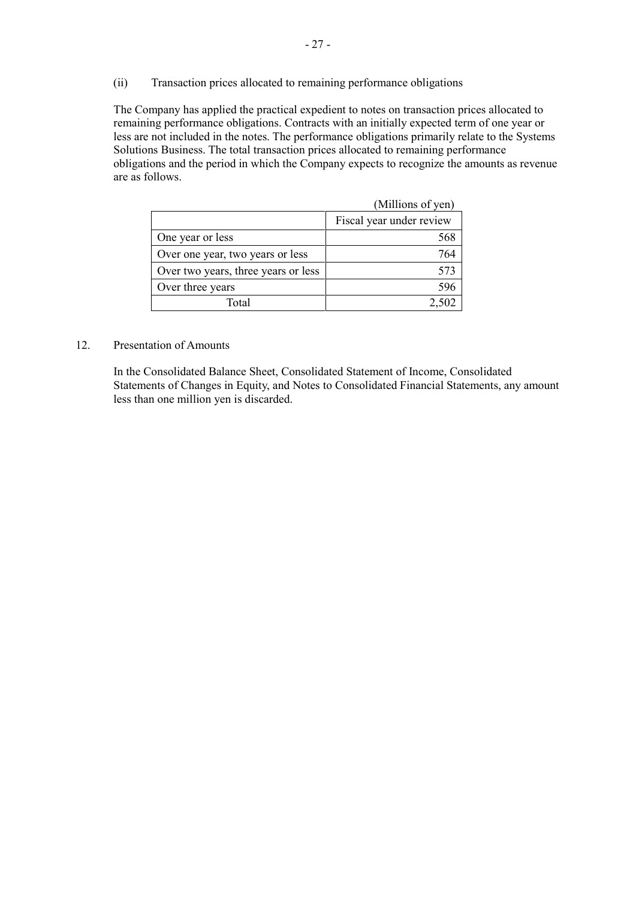(ii) Transaction prices allocated to remaining performance obligations

The Company has applied the practical expedient to notes on transaction prices allocated to remaining performance obligations. Contracts with an initially expected term of one year or less are not included in the notes. The performance obligations primarily relate to the Systems Solutions Business. The total transaction prices allocated to remaining performance obligations and the period in which the Company expects to recognize the amounts as revenue are as follows.

|                                     | (Millions of yen)        |
|-------------------------------------|--------------------------|
|                                     | Fiscal year under review |
| One year or less                    |                          |
| Over one year, two years or less    | 764                      |
| Over two years, three years or less | 573                      |
| Over three years                    | 596                      |
| Total                               |                          |

#### 12. Presentation of Amounts

In the Consolidated Balance Sheet, Consolidated Statement of Income, Consolidated Statements of Changes in Equity, and Notes to Consolidated Financial Statements, any amount less than one million yen is discarded.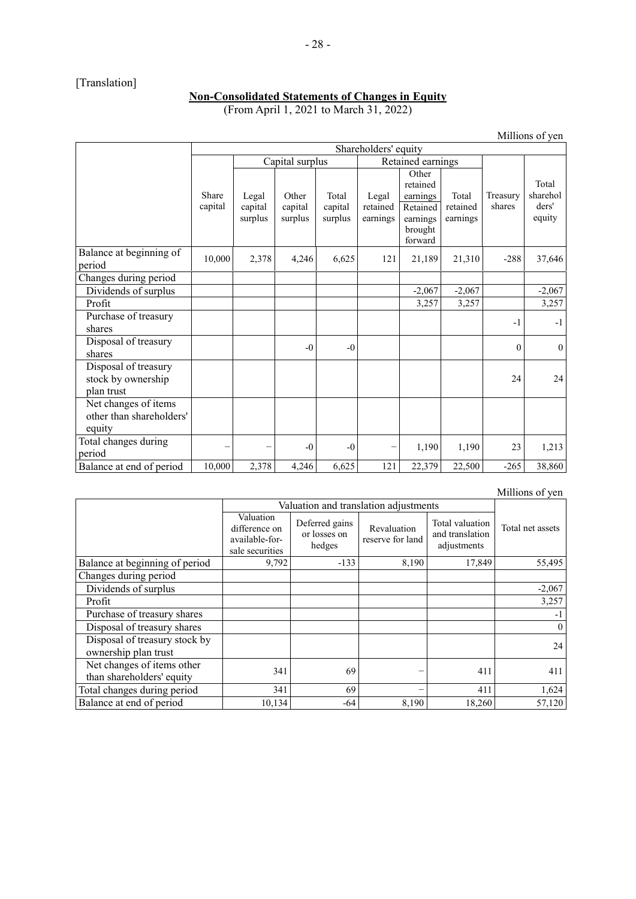# [Translation]

#### **Non-Consolidated Statements of Changes in Equity** (From April 1, 2021 to March 31, 2022)

Millions of yen

|                                                            | Shareholders' equity |                             |                             |                             |                               |                                                                             |                               |                    |                                      |
|------------------------------------------------------------|----------------------|-----------------------------|-----------------------------|-----------------------------|-------------------------------|-----------------------------------------------------------------------------|-------------------------------|--------------------|--------------------------------------|
|                                                            |                      | Capital surplus             |                             |                             | Retained earnings             |                                                                             |                               |                    |                                      |
|                                                            | Share<br>capital     | Legal<br>capital<br>surplus | Other<br>capital<br>surplus | Total<br>capital<br>surplus | Legal<br>retained<br>earnings | Other<br>retained<br>earnings<br>Retained<br>earnings<br>brought<br>forward | Total<br>retained<br>earnings | Treasury<br>shares | Total<br>sharehol<br>ders'<br>equity |
| Balance at beginning of<br>period                          | 10,000               | 2,378                       | 4,246                       | 6,625                       | 121                           | 21,189                                                                      | 21,310                        | $-288$             | 37,646                               |
| Changes during period                                      |                      |                             |                             |                             |                               |                                                                             |                               |                    |                                      |
| Dividends of surplus                                       |                      |                             |                             |                             |                               | $-2,067$                                                                    | $-2,067$                      |                    | $-2,067$                             |
| Profit                                                     |                      |                             |                             |                             |                               | 3,257                                                                       | 3,257                         |                    | 3,257                                |
| Purchase of treasury<br>shares                             |                      |                             |                             |                             |                               |                                                                             |                               | $-1$               | $-1$                                 |
| Disposal of treasury<br>shares                             |                      |                             | $-0$                        | $-0$                        |                               |                                                                             |                               | $\theta$           | $\theta$                             |
| Disposal of treasury<br>stock by ownership<br>plan trust   |                      |                             |                             |                             |                               |                                                                             |                               | 24                 | 24                                   |
| Net changes of items<br>other than shareholders'<br>equity |                      |                             |                             |                             |                               |                                                                             |                               |                    |                                      |
| Total changes during<br>period                             |                      |                             | $-0$                        | $-0$                        |                               | 1,190                                                                       | 1,190                         | 23                 | 1,213                                |
| Balance at end of period                                   | 10,000               | 2,378                       | 4,246                       | 6,625                       | 121                           | 22,379                                                                      | 22,500                        | $-265$             | 38,860                               |

| Millions of yen |  |
|-----------------|--|
|                 |  |

|                                                         | Valuation and translation adjustments                           |                                          |                                 |                                                   |                  |
|---------------------------------------------------------|-----------------------------------------------------------------|------------------------------------------|---------------------------------|---------------------------------------------------|------------------|
|                                                         | Valuation<br>difference on<br>available-for-<br>sale securities | Deferred gains<br>or losses on<br>hedges | Revaluation<br>reserve for land | Total valuation<br>and translation<br>adjustments | Total net assets |
| Balance at beginning of period                          | 9,792                                                           | $-133$                                   | 8,190                           | 17,849                                            | 55,495           |
| Changes during period                                   |                                                                 |                                          |                                 |                                                   |                  |
| Dividends of surplus                                    |                                                                 |                                          |                                 |                                                   | $-2,067$         |
| Profit                                                  |                                                                 |                                          |                                 |                                                   | 3,257            |
| Purchase of treasury shares                             |                                                                 |                                          |                                 |                                                   | -1               |
| Disposal of treasury shares                             |                                                                 |                                          |                                 |                                                   | $\overline{0}$   |
| Disposal of treasury stock by<br>ownership plan trust   |                                                                 |                                          |                                 |                                                   | 24               |
| Net changes of items other<br>than shareholders' equity | 341                                                             | 69                                       |                                 | 411                                               | 411              |
| Total changes during period                             | 341                                                             | 69                                       |                                 | 411                                               | 1,624            |
| Balance at end of period                                | 10,134                                                          | $-64$                                    | 8,190                           | 18,260                                            | 57,120           |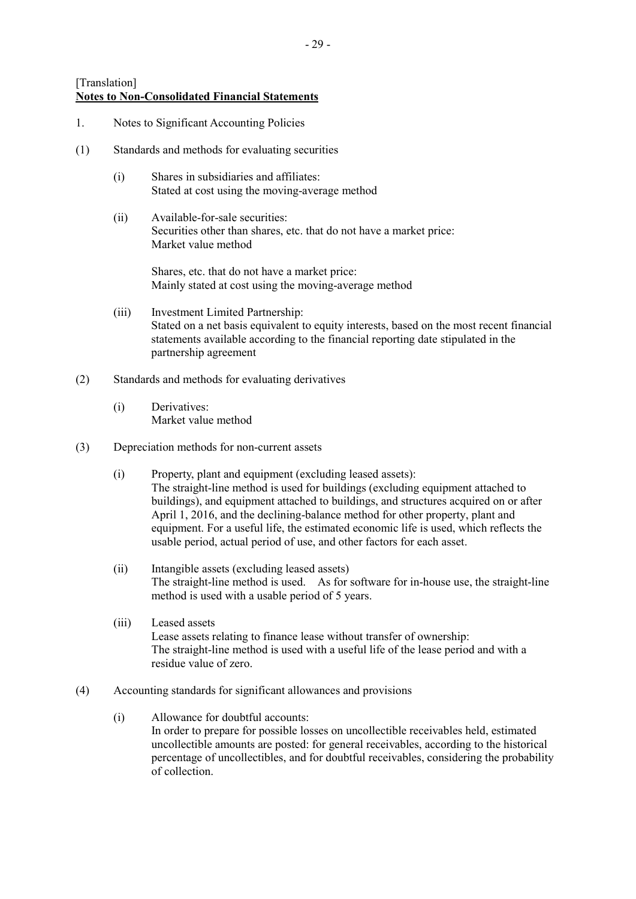- 1. Notes to Significant Accounting Policies
- (1) Standards and methods for evaluating securities
	- (i) Shares in subsidiaries and affiliates: Stated at cost using the moving-average method
	- (ii) Available-for-sale securities: Securities other than shares, etc. that do not have a market price: Market value method

Shares, etc. that do not have a market price: Mainly stated at cost using the moving-average method

- (iii) Investment Limited Partnership: Stated on a net basis equivalent to equity interests, based on the most recent financial statements available according to the financial reporting date stipulated in the partnership agreement
- (2) Standards and methods for evaluating derivatives
	- (i) Derivatives: Market value method
- (3) Depreciation methods for non-current assets
	- (i) Property, plant and equipment (excluding leased assets): The straight-line method is used for buildings (excluding equipment attached to buildings), and equipment attached to buildings, and structures acquired on or after April 1, 2016, and the declining-balance method for other property, plant and equipment. For a useful life, the estimated economic life is used, which reflects the usable period, actual period of use, and other factors for each asset.
	- (ii) Intangible assets (excluding leased assets) The straight-line method is used. As for software for in-house use, the straight-line method is used with a usable period of 5 years.
	- (iii) Leased assets Lease assets relating to finance lease without transfer of ownership: The straight-line method is used with a useful life of the lease period and with a residue value of zero.
- (4) Accounting standards for significant allowances and provisions
	- (i) Allowance for doubtful accounts: In order to prepare for possible losses on uncollectible receivables held, estimated uncollectible amounts are posted: for general receivables, according to the historical percentage of uncollectibles, and for doubtful receivables, considering the probability of collection.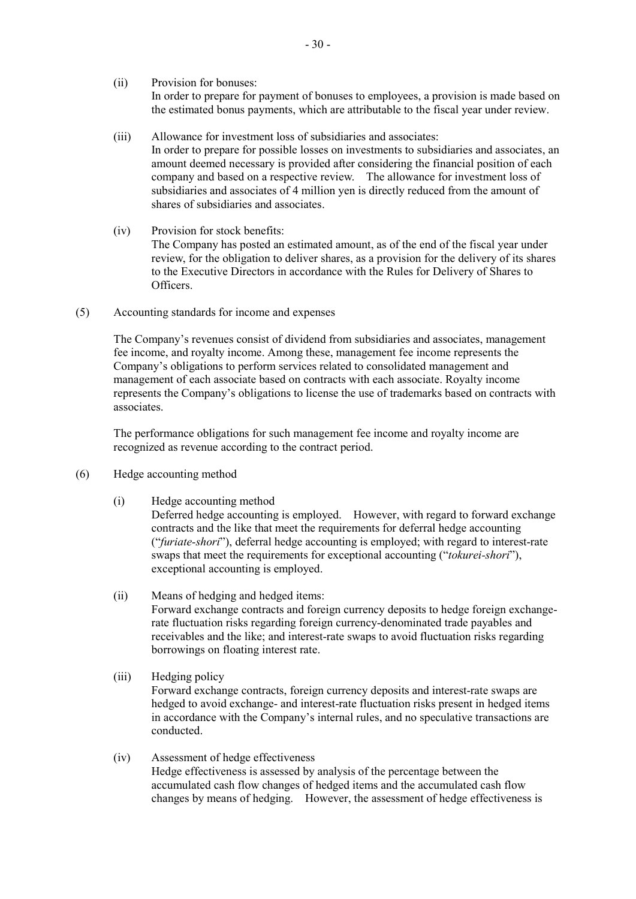(ii) Provision for bonuses: In order to prepare for payment of bonuses to employees, a provision is made based on the estimated bonus payments, which are attributable to the fiscal year under review.

- (iii) Allowance for investment loss of subsidiaries and associates: In order to prepare for possible losses on investments to subsidiaries and associates, an amount deemed necessary is provided after considering the financial position of each company and based on a respective review. The allowance for investment loss of subsidiaries and associates of 4 million yen is directly reduced from the amount of shares of subsidiaries and associates.
- (iv) Provision for stock benefits: The Company has posted an estimated amount, as of the end of the fiscal year under review, for the obligation to deliver shares, as a provision for the delivery of its shares to the Executive Directors in accordance with the Rules for Delivery of Shares to Officers.
- (5) Accounting standards for income and expenses

The Company's revenues consist of dividend from subsidiaries and associates, management fee income, and royalty income. Among these, management fee income represents the Company's obligations to perform services related to consolidated management and management of each associate based on contracts with each associate. Royalty income represents the Company's obligations to license the use of trademarks based on contracts with associates.

The performance obligations for such management fee income and royalty income are recognized as revenue according to the contract period.

- (6) Hedge accounting method
	- (i) Hedge accounting method

Deferred hedge accounting is employed. However, with regard to forward exchange contracts and the like that meet the requirements for deferral hedge accounting ("*furiate-shori*"), deferral hedge accounting is employed; with regard to interest-rate swaps that meet the requirements for exceptional accounting ("*tokurei-shori*"), exceptional accounting is employed.

- (ii) Means of hedging and hedged items: Forward exchange contracts and foreign currency deposits to hedge foreign exchangerate fluctuation risks regarding foreign currency-denominated trade payables and receivables and the like; and interest-rate swaps to avoid fluctuation risks regarding borrowings on floating interest rate.
- (iii) Hedging policy Forward exchange contracts, foreign currency deposits and interest-rate swaps are hedged to avoid exchange- and interest-rate fluctuation risks present in hedged items in accordance with the Company's internal rules, and no speculative transactions are conducted.
- (iv) Assessment of hedge effectiveness Hedge effectiveness is assessed by analysis of the percentage between the accumulated cash flow changes of hedged items and the accumulated cash flow changes by means of hedging. However, the assessment of hedge effectiveness is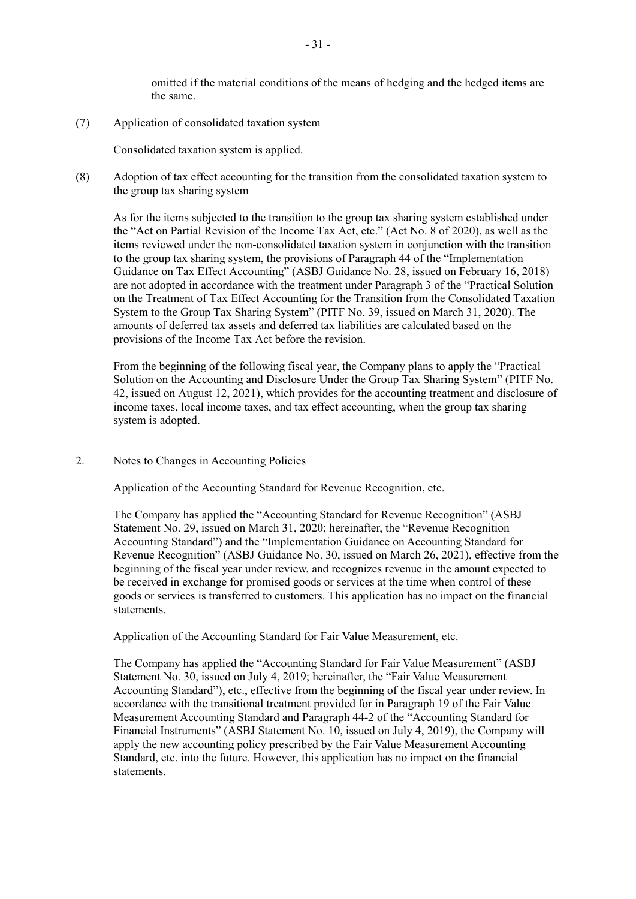omitted if the material conditions of the means of hedging and the hedged items are the same.

(7) Application of consolidated taxation system

Consolidated taxation system is applied.

(8) Adoption of tax effect accounting for the transition from the consolidated taxation system to the group tax sharing system

As for the items subjected to the transition to the group tax sharing system established under the "Act on Partial Revision of the Income Tax Act, etc." (Act No. 8 of 2020), as well as the items reviewed under the non-consolidated taxation system in conjunction with the transition to the group tax sharing system, the provisions of Paragraph 44 of the "Implementation Guidance on Tax Effect Accounting" (ASBJ Guidance No. 28, issued on February 16, 2018) are not adopted in accordance with the treatment under Paragraph 3 of the "Practical Solution on the Treatment of Tax Effect Accounting for the Transition from the Consolidated Taxation System to the Group Tax Sharing System" (PITF No. 39, issued on March 31, 2020). The amounts of deferred tax assets and deferred tax liabilities are calculated based on the provisions of the Income Tax Act before the revision.

From the beginning of the following fiscal year, the Company plans to apply the "Practical Solution on the Accounting and Disclosure Under the Group Tax Sharing System" (PITF No. 42, issued on August 12, 2021), which provides for the accounting treatment and disclosure of income taxes, local income taxes, and tax effect accounting, when the group tax sharing system is adopted.

2. Notes to Changes in Accounting Policies

Application of the Accounting Standard for Revenue Recognition, etc.

The Company has applied the "Accounting Standard for Revenue Recognition" (ASBJ Statement No. 29, issued on March 31, 2020; hereinafter, the "Revenue Recognition Accounting Standard") and the "Implementation Guidance on Accounting Standard for Revenue Recognition" (ASBJ Guidance No. 30, issued on March 26, 2021), effective from the beginning of the fiscal year under review, and recognizes revenue in the amount expected to be received in exchange for promised goods or services at the time when control of these goods or services is transferred to customers. This application has no impact on the financial statements.

Application of the Accounting Standard for Fair Value Measurement, etc.

The Company has applied the "Accounting Standard for Fair Value Measurement" (ASBJ Statement No. 30, issued on July 4, 2019; hereinafter, the "Fair Value Measurement Accounting Standard"), etc., effective from the beginning of the fiscal year under review. In accordance with the transitional treatment provided for in Paragraph 19 of the Fair Value Measurement Accounting Standard and Paragraph 44-2 of the "Accounting Standard for Financial Instruments" (ASBJ Statement No. 10, issued on July 4, 2019), the Company will apply the new accounting policy prescribed by the Fair Value Measurement Accounting Standard, etc. into the future. However, this application has no impact on the financial statements.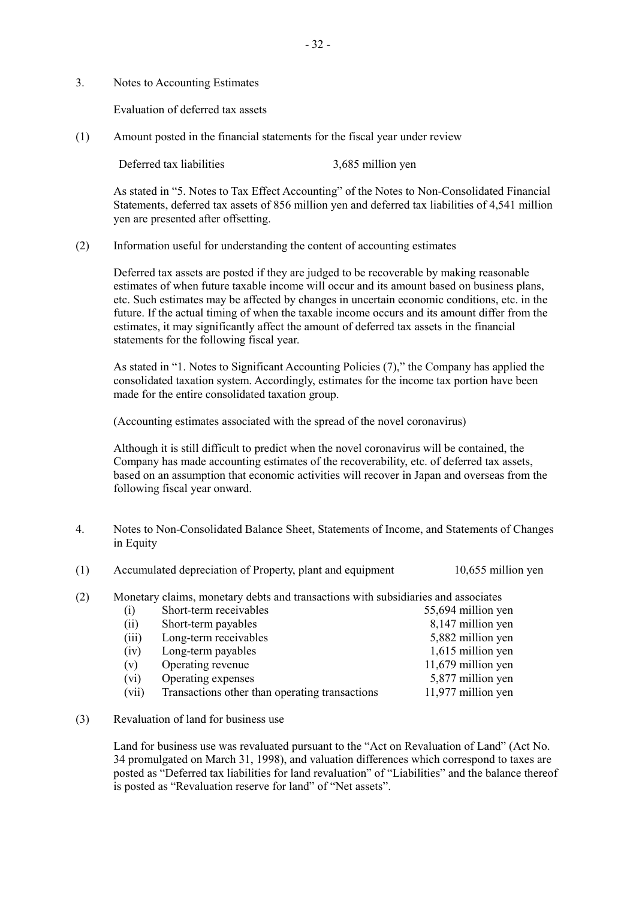3. Notes to Accounting Estimates

Evaluation of deferred tax assets

(1) Amount posted in the financial statements for the fiscal year under review

Deferred tax liabilities 3,685 million yen

As stated in "5. Notes to Tax Effect Accounting" of the Notes to Non-Consolidated Financial Statements, deferred tax assets of 856 million yen and deferred tax liabilities of 4,541 million yen are presented after offsetting.

(2) Information useful for understanding the content of accounting estimates

Deferred tax assets are posted if they are judged to be recoverable by making reasonable estimates of when future taxable income will occur and its amount based on business plans, etc. Such estimates may be affected by changes in uncertain economic conditions, etc. in the future. If the actual timing of when the taxable income occurs and its amount differ from the estimates, it may significantly affect the amount of deferred tax assets in the financial statements for the following fiscal year.

As stated in "1. Notes to Significant Accounting Policies (7)," the Company has applied the consolidated taxation system. Accordingly, estimates for the income tax portion have been made for the entire consolidated taxation group.

(Accounting estimates associated with the spread of the novel coronavirus)

Although it is still difficult to predict when the novel coronavirus will be contained, the Company has made accounting estimates of the recoverability, etc. of deferred tax assets, based on an assumption that economic activities will recover in Japan and overseas from the following fiscal year onward.

- 4. Notes to Non-Consolidated Balance Sheet, Statements of Income, and Statements of Changes in Equity
- (1) Accumulated depreciation of Property, plant and equipment 10,655 million yen

(2) Monetary claims, monetary debts and transactions with subsidiaries and associates

| (i)   | Short-term receivables                         | 55,694 million yen |
|-------|------------------------------------------------|--------------------|
| (ii)  | Short-term payables                            | 8,147 million yen  |
| (iii) | Long-term receivables                          | 5,882 million yen  |
| (iv)  | Long-term payables                             | 1,615 million yen  |
| (v)   | Operating revenue                              | 11,679 million yen |
| (vi)  | Operating expenses                             | 5,877 million yen  |
| (vii) | Transactions other than operating transactions | 11,977 million yen |

(3) Revaluation of land for business use

Land for business use was revaluated pursuant to the "Act on Revaluation of Land" (Act No. 34 promulgated on March 31, 1998), and valuation differences which correspond to taxes are posted as "Deferred tax liabilities for land revaluation" of "Liabilities" and the balance thereof is posted as "Revaluation reserve for land" of "Net assets".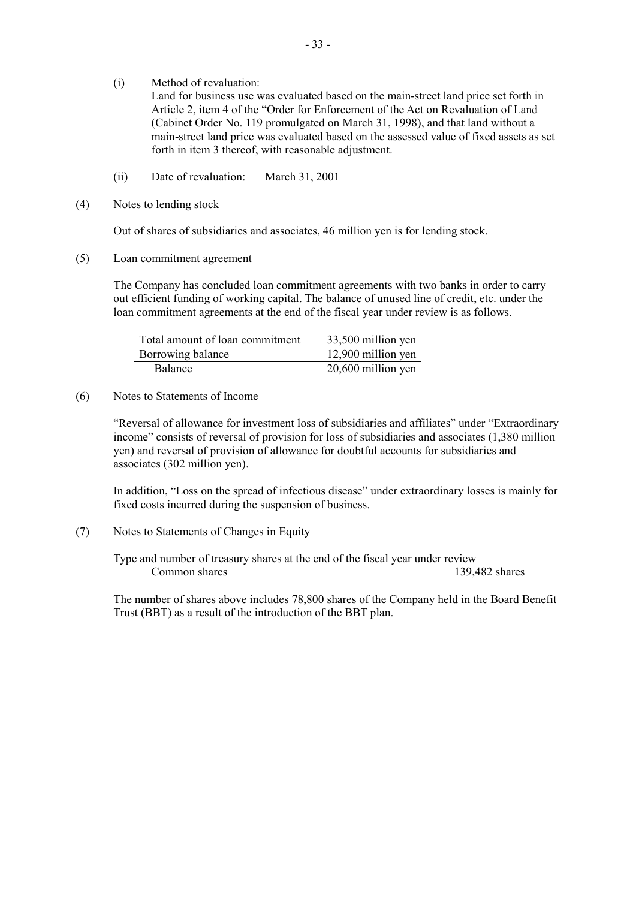(i) Method of revaluation:

Land for business use was evaluated based on the main-street land price set forth in Article 2, item 4 of the "Order for Enforcement of the Act on Revaluation of Land (Cabinet Order No. 119 promulgated on March 31, 1998), and that land without a main-street land price was evaluated based on the assessed value of fixed assets as set forth in item 3 thereof, with reasonable adjustment.

- (ii) Date of revaluation: March 31, 2001
- (4) Notes to lending stock

Out of shares of subsidiaries and associates, 46 million yen is for lending stock.

(5) Loan commitment agreement

The Company has concluded loan commitment agreements with two banks in order to carry out efficient funding of working capital. The balance of unused line of credit, etc. under the loan commitment agreements at the end of the fiscal year under review is as follows.

| Total amount of loan commitment | 33,500 million yen |
|---------------------------------|--------------------|
| Borrowing balance               | 12,900 million yen |
| <b>Balance</b>                  | 20,600 million yen |

# (6) Notes to Statements of Income

"Reversal of allowance for investment loss of subsidiaries and affiliates" under "Extraordinary income" consists of reversal of provision for loss of subsidiaries and associates (1,380 million yen) and reversal of provision of allowance for doubtful accounts for subsidiaries and associates (302 million yen).

In addition, "Loss on the spread of infectious disease" under extraordinary losses is mainly for fixed costs incurred during the suspension of business.

(7) Notes to Statements of Changes in Equity

Type and number of treasury shares at the end of the fiscal year under review Common shares 139,482 shares 139,482 shares

The number of shares above includes 78,800 shares of the Company held in the Board Benefit Trust (BBT) as a result of the introduction of the BBT plan.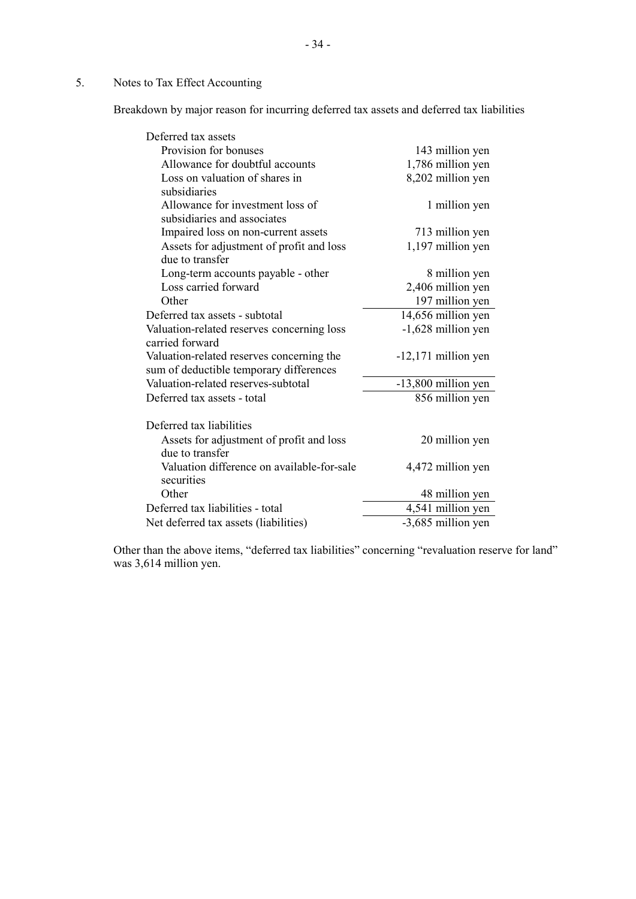# 5. Notes to Tax Effect Accounting

Breakdown by major reason for incurring deferred tax assets and deferred tax liabilities

| Deferred tax assets                        |                       |
|--------------------------------------------|-----------------------|
| Provision for bonuses                      | 143 million yen       |
| Allowance for doubtful accounts            | 1,786 million yen     |
| Loss on valuation of shares in             | 8,202 million yen     |
| subsidiaries                               |                       |
| Allowance for investment loss of           | 1 million yen         |
| subsidiaries and associates                |                       |
| Impaired loss on non-current assets        | 713 million yen       |
| Assets for adjustment of profit and loss   | 1,197 million yen     |
| due to transfer                            |                       |
| Long-term accounts payable - other         | 8 million yen         |
| Loss carried forward                       | 2,406 million yen     |
| Other                                      | 197 million yen       |
| Deferred tax assets - subtotal             | 14,656 million yen    |
| Valuation-related reserves concerning loss | -1,628 million yen    |
| carried forward                            |                       |
| Valuation-related reserves concerning the  | $-12,171$ million yen |
| sum of deductible temporary differences    |                       |
| Valuation-related reserves-subtotal        | -13,800 million yen   |
| Deferred tax assets - total                | 856 million yen       |
| Deferred tax liabilities                   |                       |
| Assets for adjustment of profit and loss   | 20 million yen        |
| due to transfer                            |                       |
| Valuation difference on available-for-sale | 4,472 million yen     |
| securities                                 |                       |
| Other                                      | 48 million yen        |
| Deferred tax liabilities - total           | 4,541 million yen     |
| Net deferred tax assets (liabilities)      | -3,685 million yen    |

Other than the above items, "deferred tax liabilities" concerning "revaluation reserve for land" was 3,614 million yen.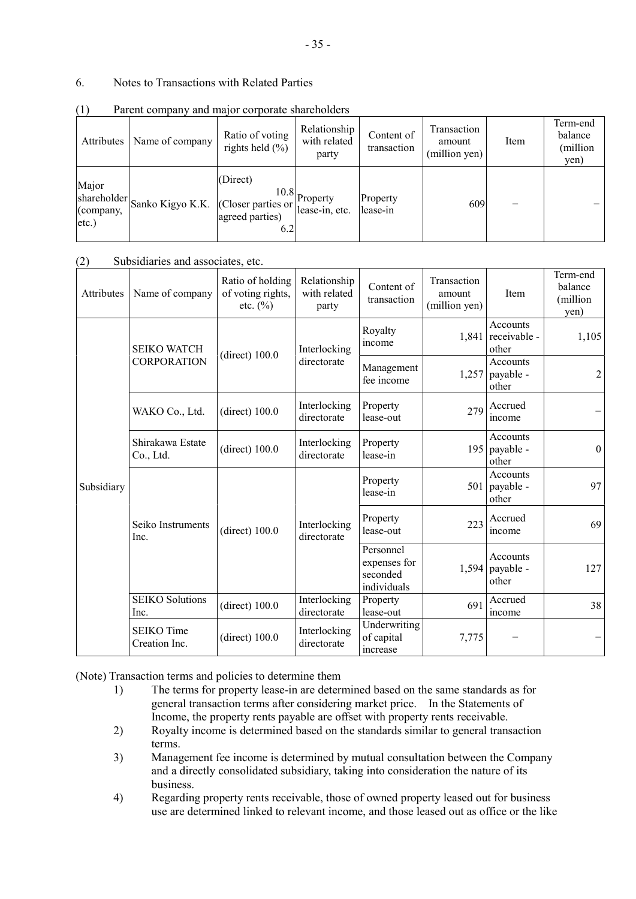# 6. Notes to Transactions with Related Parties

| Attributes                                    | Name of company                     | Ratio of voting<br>rights held $(\% )$ | Relationship<br>with related<br>party | Content of<br>transaction | Transaction<br>amount<br>(million yen) | Item | Term-end<br>balance<br>(million<br>yen) |
|-----------------------------------------------|-------------------------------------|----------------------------------------|---------------------------------------|---------------------------|----------------------------------------|------|-----------------------------------------|
| Major<br>shareholder<br>(company,<br>$etc.$ ) | Sanko Kigyo K.K. (Closer parties or | (Direct)<br>agreed parties)<br>6.2     | $10.8$ Property<br>lease-in, etc.     | Property<br>lease-in      | 609                                    |      |                                         |

(1) Parent company and major corporate shareholders

#### (2) Subsidiaries and associates, etc.

| Attributes | Name of company                    | Ratio of holding<br>of voting rights,<br>etc. $(\%$ | Relationship<br>with related<br>party | Content of<br>transaction                            | Transaction<br>amount<br>(million yen) | Item                                 | Term-end<br>balance<br>(million<br>yen) |
|------------|------------------------------------|-----------------------------------------------------|---------------------------------------|------------------------------------------------------|----------------------------------------|--------------------------------------|-----------------------------------------|
|            | <b>SEIKO WATCH</b>                 |                                                     | Interlocking                          | Royalty<br>income                                    | 1,841                                  | Accounts<br>receivable -<br>other    | 1,105                                   |
|            | <b>CORPORATION</b>                 | $(direct)$ 100.0                                    | directorate                           | Management<br>fee income                             | 1,257                                  | Accounts<br>payable -<br>other       | $\overline{2}$                          |
|            | WAKO Co., Ltd.                     | (direct) $100.0$                                    | Interlocking<br>directorate           | Property<br>lease-out                                | 279                                    | Accrued<br>income                    |                                         |
|            | Shirakawa Estate<br>Co., Ltd.      | $(direct)$ 100.0                                    | Interlocking<br>directorate           | Property<br>lease-in                                 |                                        | Accounts<br>195 payable -<br>other   | $\theta$                                |
| Subsidiary | Seiko Instruments<br>Inc.          | (direct) 100.0                                      | Interlocking<br>directorate           | Property<br>lease-in                                 | 501                                    | Accounts<br>payable -<br>other       | 97                                      |
|            |                                    |                                                     |                                       | Property<br>lease-out                                | 223                                    | Accrued<br>income                    | 69                                      |
|            |                                    |                                                     |                                       | Personnel<br>expenses for<br>seconded<br>individuals |                                        | Accounts<br>1,594 payable -<br>other | 127                                     |
|            | <b>SEIKO Solutions</b><br>Inc.     | (direct) 100.0                                      | Interlocking<br>directorate           | Property<br>lease-out                                | 691                                    | Accrued<br>income                    | 38                                      |
|            | <b>SEIKO</b> Time<br>Creation Inc. | (direct) $100.0$                                    | Interlocking<br>directorate           | Underwriting<br>of capital<br>increase               | 7,775                                  |                                      |                                         |

(Note) Transaction terms and policies to determine them

- 1) The terms for property lease-in are determined based on the same standards as for general transaction terms after considering market price. In the Statements of Income, the property rents payable are offset with property rents receivable.
- 2) Royalty income is determined based on the standards similar to general transaction terms.
- 3) Management fee income is determined by mutual consultation between the Company and a directly consolidated subsidiary, taking into consideration the nature of its business.
- 4) Regarding property rents receivable, those of owned property leased out for business use are determined linked to relevant income, and those leased out as office or the like